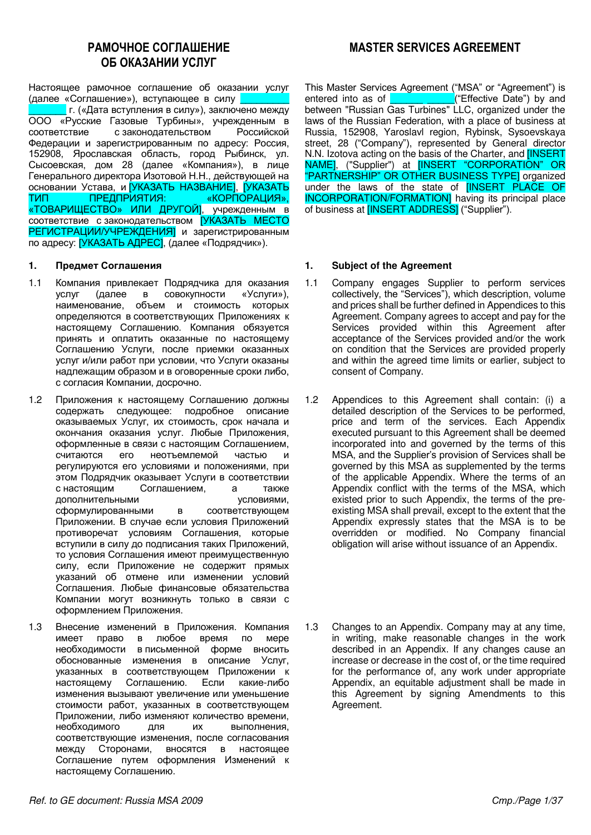# **PAMOYHOF COLUMBULERING** ОБ ОКАЗАНИИ УСЛУГ

Настоящее рамочное соглашение об оказании услуг (далее «Соглашение»), вступающее в силу г. («Дата вступления в силу»), заключено между ООО «Русские Газовые Турбины», учрежденным в соответствие с законодательством Российской соответствие с законодательством Федерации и зарегистрированным по адресу: Россия, 152908, Ярославская область, город Рыбинск, ул. Сысоевская, дом 28 (далее «Компания»), в лице Генерального директора Изотовой Н.Н., действующей на основании Устава, и <mark>УКАЗАТЬ НАЗВАНИЕ], [УКАЗАТЬ</mark><br>ТИП ПРЕДПРИЯТИЯ: «КОРПОРАЦИЯ». ТИП ПРЕДПРИЯТИЯ: «КОРПОРАЦИЯ», «ТОВАРИЩЕСТВО» ИЛИ ДРУГОИ], учрежденным в соответствие с законодательством [УКАЗАТЬ МЕСТО РЕГИСТРАЦИИ/УЧРЕЖДЕНИЯ и зарегистрированным по адресу: [УКАЗАТЬ АДРЕС], (далее «Подрядчик»).

- 1.1 Компания привлекает Подрядчика для оказания услуг (далее в совокупности «Услуги»), наименование, объем и стоимость которых определяются в соответствующих Приложениях к настоящему Соглашению. Компания обязуется принять и оплатить оказанные по настоящему Соглашению Услуги, после приемки оказанных үслүг и/или работ при условии, что Услуги оказаны надлежащим образом и в оговоренные сроки либо, с согласия Компании, досрочно.
- 1.2 Приложения к настоящему Соглашению должны содержать следующее: подробное описание оказываемых Услуг, их стоимость, срок начала и окончания оказания услуг. Любые Приложения, оформленные в связи с настоящим Соглашением, считаются его неотъемлемой частью и регулируются его условиями и положениями, при этом Подрядчик оказывает Услуги в соответствии с настоящим Соглашением, а также дополнительными и условиями, сформулированными в соответствующем Приложении. В случае если условия Приложений противоречат условиям Соглашения, которые вступили в силу до подписания таких Приложений, то условия Соглашения имеют преимущественную силу, если Приложение не содержит прямых указаний об отмене или изменении условий Соглашения. Любые финансовые обязательства Компании могут возникнуть только в связи с оформлением Приложения.
- 1.3 Внесение изменений в Приложения. Компания имеет право в любое время по мере необходимости в письменной форме вносить обоснованные изменения в описание Услуг, указанных в соответствующем Приложении к<br>настоящему Соглашению. Если какие-либо настоящему Соглашению. изменения вызывают увеличение или уменьшение стоимости работ, указанных в соответствующем Приложении, либо изменяют количество времени, необходимого для их выполнения, соответствующие изменения, после согласования между Сторонами, вносятся в настоящее Соглашение путем оформления Изменений к настоящему Соглашению.

# **MASTER SERVICES AGREEMENT**

This Master Services Agreement ("MSA" or "Agreement") is entered into as of **DEVALG AT ALGE 1** ("Effective Date") by and between "Russian Gas Turbines" LLC, organized under the laws of the Russian Federation, with a place of business at Russia, 152908, Yaroslavl region, Rybinsk, Sysoevskaya street, 28 ("Company"), represented by General director N.N. Izotova acting on the basis of the Charter, and [INSERT NAME], ("Supplier") at [INSERT "CORPORATION" OR "PARTNERSHIP" OR OTHER BUSINESS TYPEJ organized under the laws of the state of [INSERT PLACE OF INCORPORATION/FORMATION] having its principal place of business at **[INSERT ADDRESS]** ("Supplier").

## 1. Предмет Соглашения **1.** Subject of the Agreement

- 1.1 Company engages Supplier to perform services collectively, the "Services"), which description, volume and prices shall be further defined in Appendices to this Agreement. Company agrees to accept and pay for the Services provided within this Agreement after acceptance of the Services provided and/or the work on condition that the Services are provided properly and within the agreed time limits or earlier, subject to consent of Company.
- 1.2 Appendices to this Agreement shall contain: (i) a detailed description of the Services to be performed, price and term of the services. Each Appendix executed pursuant to this Agreement shall be deemed incorporated into and governed by the terms of this MSA, and the Supplier's provision of Services shall be governed by this MSA as supplemented by the terms of the applicable Appendix. Where the terms of an Appendix conflict with the terms of the MSA, which existed prior to such Appendix, the terms of the preexisting MSA shall prevail, except to the extent that the Appendix expressly states that the MSA is to be overridden or modified. No Company financial obligation will arise without issuance of an Appendix.
- 1.3 Changes to an Appendix. Company may at any time, in writing, make reasonable changes in the work described in an Appendix. If any changes cause an increase or decrease in the cost of, or the time required for the performance of, any work under appropriate Appendix, an equitable adjustment shall be made in this Agreement by signing Amendments to this Agreement.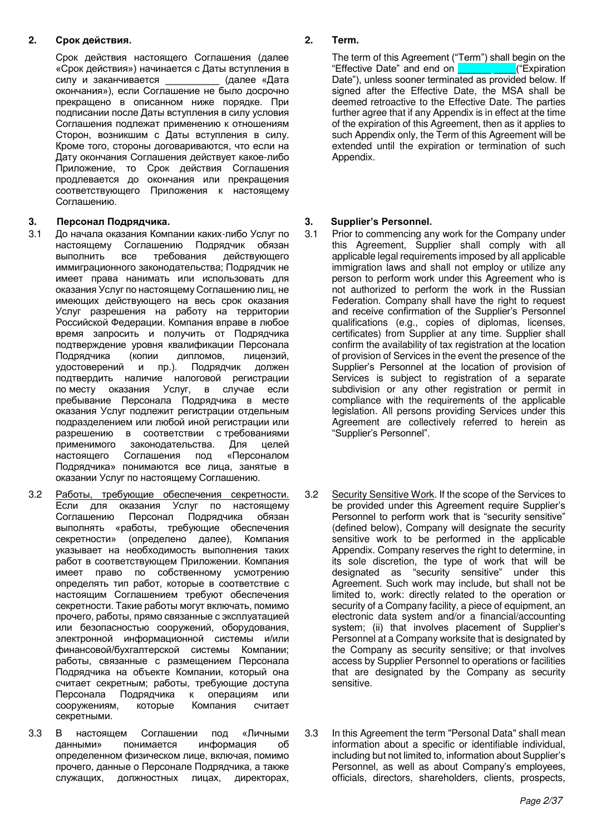## **2. Срок действия. 19. Срок действия. 2. Тегт.**

Срок действия настоящего Соглашения (далее «Срок действия») начинается с Даты вступления в силу и заканчивается (далее «Дата окончания»), если Соглашение не было досрочно прекращено в описанном ниже порядке. При подписании после Даты вступления в силу условия Соглашения подлежат применению к отношениям Сторон, возникшим с Даты вступления в силу. Кроме того, стороны договариваются, что если на Дату окончания Соглашения действует какое-либо Приложение, то Срок действия Соглашения продлевается до окончания или прекращения соответствующего Приложения к настоящему Соглашению.

## 3. Персонал Подрядчика. **1988 и 1991 года** и 13. Supplier's Personnel.

- 3.1 До начала оказания Компании каких-либо Услуг по настоящему Соглашению Подрядчик обязан<br>выполнить все требования действующего выполнить все требования действующего иммиграционного законодательства: Подрядчик не имеет права нанимать или использовать для оказания Услуг по настоящему Соглашению лиц, не имеющих действующего на весь срок оказания Услуг разрешения на работу на территории Российской Федерации. Компания вправе в любое время запросить и получить от Подрядчика подтверждение уровня квалификации Персонала<br>Подрядчика (копии дипломов, лицензий, Подрядчика (копии дипломов, лицензий, удостоверений и пр.). Подрядчик должен подтвердить наличие налоговой регистрации по месту оказания Услуг, в случае если пребывание Персонала Подрядчика в месте оказания Услуг подлежит регистрации отдельным подразделением или любой иной регистрации или разрешению в соответствии с требованиями применимого законодательства. Для целей настоящего Соглашения под «Персоналом Подрядчика» понимаются все лица, занятые в оказании Услуг по настоящему Соглашению.
- 3.2 Работы, требующие обеспечения секретности. Если для оказания Услуг по настоящему Соглашению Персонал Подрядчика обязан выполнять «работы, требующие обеспечения секретности» (определено далее), Компания vказывает на необходимость выполнения таких работ в соответствующем Приложении. Компания имеет право по собственному усмотрению определять тип работ, которые в соответствие с настоящим Соглашением требуют обеспечения секретности. Такие работы могут включать, помимо прочего, работы, прямо связанные с эксплуатацией или безопасностью сооружений, оборудования, электронной информационной системы и/или финансовой/бухгалтерской системы Компании; работы, связанные с размещением Персонала Подрядчика на объекте Компании, который она считает секретным; работы, требующие доступа Персонала Подрядчика к операциям или сооружениям, которые Компания считает секретными.
- 3.3 В настоящем Соглашении под «Личными данными» понимается информация об определенном физическом лице, включая, помимо прочего, данные о Персонале Подрядчика, а также служащих, должностных лицах, директорах,

The term of this Agreement ("Term") shall begin on the "Effective Date" and end on Date"), unless sooner terminated as provided below. If signed after the Effective Date, the MSA shall be deemed retroactive to the Effective Date. The parties further agree that if any Appendix is in effect at the time of the expiration of this Agreement, then as it applies to such Appendix only, the Term of this Agreement will be extended until the expiration or termination of such Appendix.

- 3.1 Prior to commencing any work for the Company under this Agreement, Supplier shall comply with all applicable legal requirements imposed by all applicable immigration laws and shall not employ or utilize any person to perform work under this Agreement who is not authorized to perform the work in the Russian Federation. Company shall have the right to request and receive confirmation of the Supplier's Personnel qualifications (e.g., copies of diplomas, licenses, certificates) from Supplier at any time. Supplier shall confirm the availability of tax registration at the location of provision of Services in the event the presence of the Supplier's Personnel at the location of provision of Services is subject to registration of a separate subdivision or any other registration or permit in compliance with the requirements of the applicable legislation. All persons providing Services under this Agreement are collectively referred to herein as "Supplier's Personnel".
- 3.2 Security Sensitive Work. If the scope of the Services to be provided under this Agreement require Supplier's Personnel to perform work that is "security sensitive" (defined below), Company will designate the security sensitive work to be performed in the applicable Appendix. Company reserves the right to determine, in its sole discretion, the type of work that will be designated as "security sensitive" under this Agreement. Such work may include, but shall not be limited to, work: directly related to the operation or security of a Company facility, a piece of equipment, an electronic data system and/or a financial/accounting system; (ii) that involves placement of Supplier's Personnel at a Company worksite that is designated by the Company as security sensitive; or that involves access by Supplier Personnel to operations or facilities that are designated by the Company as security sensitive.
- 3.3 In this Agreement the term "Personal Data" shall mean information about a specific or identifiable individual, including but not limited to, information about Supplier's Personnel, as well as about Company's employees, officials, directors, shareholders, clients, prospects,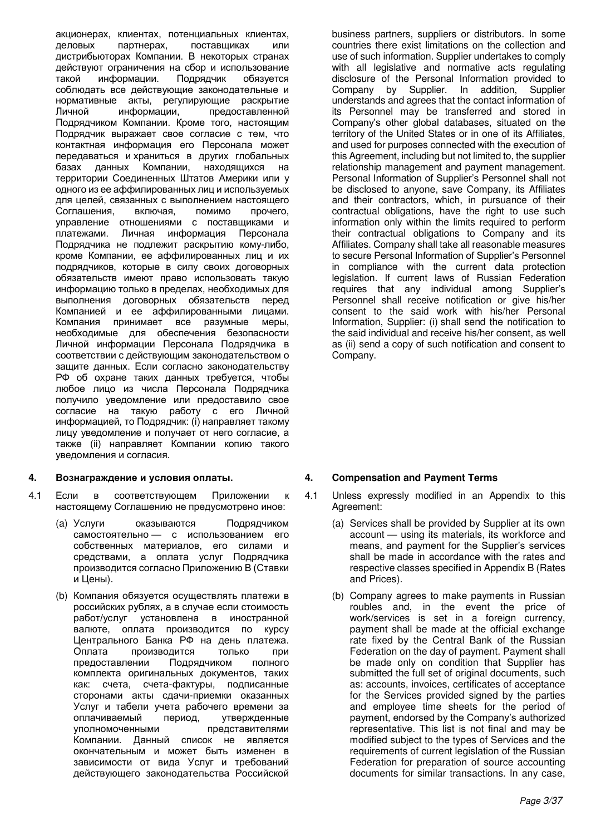акционерах, клиентах, потенциальных клиентах, аеловых или поставшиках или дистрибьюторах Компании. В некоторых странах действуют ограничения на сбор и использование такой информации. Подрядчик обязуется соблюдать все действующие законодательные и нормативные акты, регулирующие раскрытие Личной информации, предоставленной Подрядчиком Компании. Кроме того, настоящим Подрядчик выражает свое согласие с тем, что контактная информация его Персонала может передаваться и храниться в других глобальных базах данных Компании, находящихся на территории Соединенных Штатов Америки или у одного из ее аффилированных лиц и используемых для целей, связанных с выполнением настоящего<br>Соглашения, включая, помимо прочего, Соглашения, включая, помимо прочего, управление отношениями с поставщиками и платежами. Личная информация Персонала Подрядчика не подлежит раскрытию кому-либо, кроме Компании, ее аффилированных лиц и их подрядчиков, которые в силу своих договорных обязательств имеют право использовать такую информацию только в пределах, необходимых для выполнения договорных обязательств перед Компанией и ее аффилированными лицами. Компания принимает все разумные меры, необходимые для обеспечения безопасности Личной информации Персонала Подрядчика в соответствии с действующим законодательством о защите данных. Если согласно законодательству РФ об охране таких данных требуется, чтобы любое лицо из числа Персонала Подрядчика получило уведомление или предоставило свое согласие на такую работу с его Личной информацией, то Подрядчик: (i) направляет такому лицу уведомление и получает от него согласие, а также (ii) направляет Компании копию такого уведомления и согласия.

## **4. ȼɨɡɧɚɝɪɚɠɞɟɧɢɟ ɢ ɭɫɥɨɜɢɹ ɨɩɥɚɬɵ. 4. Compensation and Payment Terms**

- 4.1 Если в соответствующем Приложении к настоящему Соглашению не предусмотрено иное:
	- (а) Услуги оказываются Подрядчиком самостоятельно — с использованием его собственных материалов, его силами и средствами, а оплата услуг Подрядчика производится согласно Приложению В (Ставки и Цены).
	- (b) Компания обязуется осуществлять платежи в российских рублях, а в случае если стоимость<br>работ/услуг установлена в иностранной установлена в иностранной валюте, оплата производится по курсу Центрального Банка РФ на день платежа. Оплата производится только при предоставлении Подрядчиком полного комплекта оригинальных документов, таких как: счета, счета-фактуры, подписанные сторонами акты сдачи-приемки оказанных Услуг и табели учета рабочего времени за оплачиваемый период, утвержденные уполномоченными представителями Компании. Данный список не является окончательным и может быть изменен в зависимости от вида Услуг и требований действующего законодательства Российской

business partners, suppliers or distributors. In some countries there exist limitations on the collection and use of such information. Supplier undertakes to comply with all legislative and normative acts regulating disclosure of the Personal Information provided to Company by Supplier. In addition, Supplier understands and agrees that the contact information of its Personnel may be transferred and stored in Company's other global databases, situated on the territory of the United States or in one of its Affiliates, and used for purposes connected with the execution of this Agreement, including but not limited to, the supplier relationship management and payment management. Personal Information of Supplier's Personnel shall not be disclosed to anyone, save Company, its Affiliates and their contractors, which, in pursuance of their contractual obligations, have the right to use such information only within the limits required to perform their contractual obligations to Company and its Affiliates. Company shall take all reasonable measures to secure Personal Information of Supplier's Personnel in compliance with the current data protection legislation. If current laws of Russian Federation requires that any individual among Supplier's Personnel shall receive notification or give his/her consent to the said work with his/her Personal Information, Supplier: (i) shall send the notification to the said individual and receive his/her consent, as well as (ii) send a copy of such notification and consent to Company.

- 4.1 Unless expressly modified in an Appendix to this Agreement:
	- (a) Services shall be provided by Supplier at its own account — using its materials, its workforce and means, and payment for the Supplier's services shall be made in accordance with the rates and respective classes specified in Appendix B (Rates and Prices).
	- (b) Company agrees to make payments in Russian roubles and, in the event the price of work/services is set in a foreign currency, payment shall be made at the official exchange rate fixed by the Central Bank of the Russian Federation on the day of payment. Payment shall be made only on condition that Supplier has submitted the full set of original documents, such as: accounts, invoices, certificates of acceptance for the Services provided signed by the parties and employee time sheets for the period of payment, endorsed by the Company's authorized representative. This list is not final and may be modified subject to the types of Services and the requirements of current legislation of the Russian Federation for preparation of source accounting documents for similar transactions. In any case,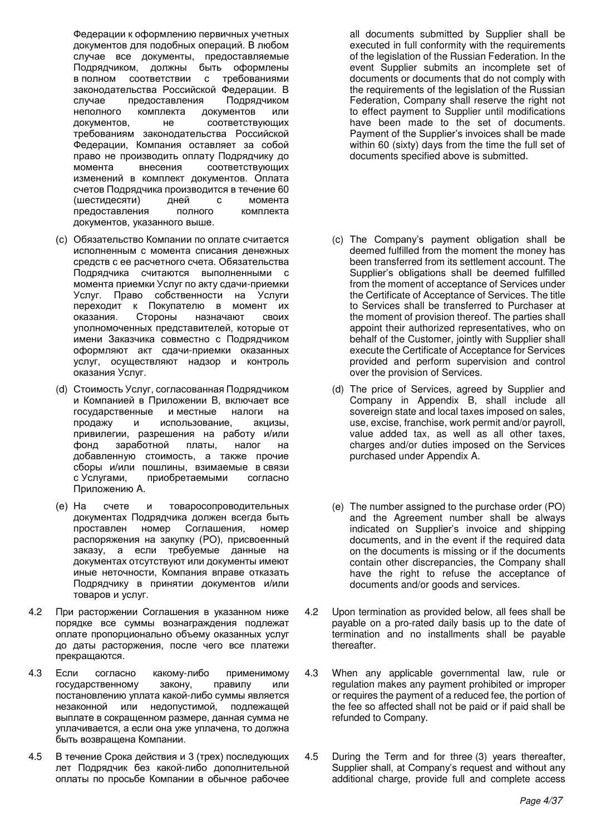Федерации к оформлению первичных учетных документов для подобных операций. В любом случае все документы, предоставляемые Подрядчиком, должны быть оформлены в полном соответствии с требованиями законодательства Российской Федерации. В случае предоставления Подрядчиком неполного комплекта документов или документов, не соответствующих требованиям законодательства Российской Федерации, Компания оставляет за собой право не производить оплату Подрядчику до момента внесения соответствующих изменений в комплект документов. Оплата счетов Подрядчика производится в течение 60 (шестидесяти) дней с момента предоставления полного комплекта документов, указанного выше.

- (c) Обязательство Компании по оплате считается исполненным с момента списания денежных средств с ее расчетного счета. Обязательства Подрядчика считаются выполненными с момента приемки Услуг по акту сдачи-приемки Услуг. Право собственности на Услуги переходит к Покупателю в момент их оказания. Стороны назначают своих уполномоченных представителей, которые от имени Заказчика совместно с Подрядчиком оформляют акт сдачи-приемки оказанных услуг, осуществляют надзор и контроль оказания Услуг.
- (d) Стоимость Услуг, согласованная Подрядчиком и Компанией в Приложении В, включает все государственные и местные налоги на продажу и использование, акцизы, привилегии, разрешения на работу и/или фонд заработной платы, налог на добавленную стоимость, а также прочие сборы и/или пошлины, взимаемые в связи с Услугами, приобретаемыми согласно Приложению А.
- (е) На счете и товаросопроводительных документах Подрядчика должен всегда быть проставлен номер Соглашения, номер распоряжения на закупку (PO), присвоенный заказу, а если требуемые данные на документах отсутствуют или документы имеют иные неточности, Компания вправе отказать Подрядчику в принятии документов и/или товаров и услуг.
- 4.2 При расторжении Соглашения в указанном ниже порядке все суммы вознаграждения подлежат оплате пропорционально объему оказанных услуг до даты расторжения, после чего все платежи прекращаются.
- 4.3 Если согласно какому-либо применимому государственному закону, правилу или постановлению уплата какой-либо суммы является незаконной или недопустимой, подлежащей выплате в сокращенном размере, данная сумма не уплачивается, а если она уже уплачена, то должна быть возвращена Компании.
- 4.5 В течение Срока действия и 3 (трех) последующих лет Подрядчик без какой-либо дополнительной оплаты по просьбе Компании в обычное рабочее

all documents submitted by Supplier shall be executed in full conformity with the requirements of the legislation of the Russian Federation. In the event Supplier submits an incomplete set of documents or documents that do not comply with the requirements of the legislation of the Russian Federation, Company shall reserve the right not to effect payment to Supplier until modifications have been made to the set of documents. Payment of the Supplier's invoices shall be made within 60 (sixty) days from the time the full set of documents specified above is submitted.

- (c) The Company's payment obligation shall be deemed fulfilled from the moment the money has been transferred from its settlement account. The Supplier's obligations shall be deemed fulfilled from the moment of acceptance of Services under the Certificate of Acceptance of Services. The title to Services shall be transferred to Purchaser at the moment of provision thereof. The parties shall appoint their authorized representatives, who on behalf of the Customer, jointly with Supplier shall execute the Certificate of Acceptance for Services provided and perform supervision and control over the provision of Services.
- (d) The price of Services, agreed by Supplier and Company in Appendix B, shall include all sovereign state and local taxes imposed on sales, use, excise, franchise, work permit and/or payroll, value added tax, as well as all other taxes, charges and/or duties imposed on the Services purchased under Appendix A.
- (e) The number assigned to the purchase order (PO) and the Agreement number shall be always indicated on Supplier's invoice and shipping documents, and in the event if the required data on the documents is missing or if the documents contain other discrepancies, the Company shall have the right to refuse the acceptance of documents and/or goods and services.
- 4.2 Upon termination as provided below, all fees shall be payable on a pro-rated daily basis up to the date of termination and no installments shall be payable thereafter.
- 4.3 When any applicable governmental law, rule or regulation makes any payment prohibited or improper or requires the payment of a reduced fee, the portion of the fee so affected shall not be paid or if paid shall be refunded to Company.
- 4.5 During the Term and for three (3) years thereafter, Supplier shall, at Company's request and without any additional charge, provide full and complete access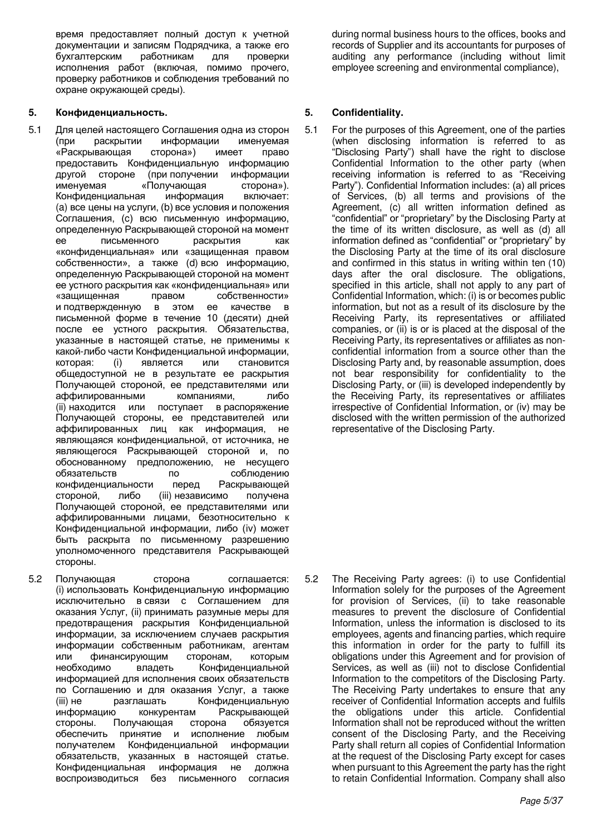время предоставляет полный доступ к учетной документации и записям Подрядчика, а также его<br>бухгалтерским и работникам иля иповерки работникам для проверки исполнения работ (включая, помимо прочего, проверку работников и соблюдения требований по охране окружающей среды).

## **5. Ʉɨɧɮɢɞɟɧɰɢɚɥɶɧɨɫɬɶ. 5. Confidentiality.**

- 5.1 Для целей настоящего Соглашения одна из сторон (при раскрытии информации именуемая «Раскрывающая сторона») имеет право предоставить Конфиденциальную информацию другой стороне (при получении информации именуемая «Получающая сторона»). Конфиденциальная информация включает: (a) все цены на услуги, (b) все условия и положения Соглашения, (с) всю письменную информацию, определенную Раскрывающей стороной на момент ее письменного раскрытия как «конфиденциальная» или «защищенная правом собственности», а также (d) всю информацию, определенную Раскрывающей стороной на момент ее устного раскрытия как «конфиденциальная» или «защищенная правом собственности» и подтвержденную в этом ее качестве в письменной форме в течение 10 (десяти) дней после ее устного раскрытия. Обязательства, указанные в настоящей статье, не применимы к какой-либо части Конфиденциальной информации,<br>которая: (i) является или становится которая: (i) является или становится общедоступной не в результате ее раскрытия Получающей стороной, ее представителями или аффилированными компаниями, либо (ii) находится или поступает в распоряжение Получающей стороны, ее представителей или аффилированных лиц как информация, не являющаяся конфиденциальной, от источника, не являющегося Раскрывающей стороной и, по обоснованному предположению, не несущего обязательств по соблюдению<br>конфиденциальности перед Раскрывающей конфиденциальности перед стороной, либо (iii) независимо получена Получающей стороной, ее представителями или аффилированными лицами, безотносительно к Конфиденциальной информации, либо (iv) может быть раскрыта по письменному разрешению уполномоченного представителя Раскрывающей стороны.
- 5.2 Получающая сторона соглашается: (i) использовать Конфиденциальную информацию исключительно в связи с Соглашением для оказания Услуг, (ii) принимать разумные меры для предотвращения раскрытия Конфиденциальной информации, за исключением случаев раскрытия информации собственным работникам, агентам или финансирующим сторонам, которым необходимо владеть Конфиденциальной информацией для исполнения своих обязательств по Соглашению и для оказания Услуг, а также (iii) не разглашать Конфиденциальную информацию конкурентам Раскрывающей стороны. Получающая сторона обязуется обеспечить принятие и исполнение любым получателем Конфиденциальной информации обязательств, указанных в настоящей статье. Конфиденциальная информация не должна воспроизводиться без письменного согласия

during normal business hours to the offices, books and records of Supplier and its accountants for purposes of auditing any performance (including without limit employee screening and environmental compliance),

5.1 For the purposes of this Agreement, one of the parties (when disclosing information is referred to as "Disclosing Party") shall have the right to disclose Confidential Information to the other party (when receiving information is referred to as "Receiving Party"). Confidential Information includes: (a) all prices of Services, (b) all terms and provisions of the Agreement, (c) all written information defined as "confidential" or "proprietary" by the Disclosing Party at the time of its written disclosure, as well as (d) all information defined as "confidential" or "proprietary" by the Disclosing Party at the time of its oral disclosure and confirmed in this status in writing within ten (10) days after the oral disclosure. The obligations, specified in this article, shall not apply to any part of Confidential Information, which: (i) is or becomes public information, but not as a result of its disclosure by the Receiving Party, its representatives or affiliated companies, or (ii) is or is placed at the disposal of the Receiving Party, its representatives or affiliates as nonconfidential information from a source other than the Disclosing Party and, by reasonable assumption, does not bear responsibility for confidentiality to the Disclosing Party, or (iii) is developed independently by the Receiving Party, its representatives or affiliates irrespective of Confidential Information, or (iv) may be disclosed with the written permission of the authorized representative of the Disclosing Party.

5.2 The Receiving Party agrees: (i) to use Confidential Information solely for the purposes of the Agreement for provision of Services, (ii) to take reasonable measures to prevent the disclosure of Confidential Information, unless the information is disclosed to its employees, agents and financing parties, which require this information in order for the party to fulfill its obligations under this Agreement and for provision of Services, as well as (iii) not to disclose Confidential Information to the competitors of the Disclosing Party. The Receiving Party undertakes to ensure that any receiver of Confidential Information accepts and fulfils the obligations under this article. Confidential Information shall not be reproduced without the written consent of the Disclosing Party, and the Receiving Party shall return all copies of Confidential Information at the request of the Disclosing Party except for cases when pursuant to this Agreement the party has the right to retain Confidential Information. Company shall also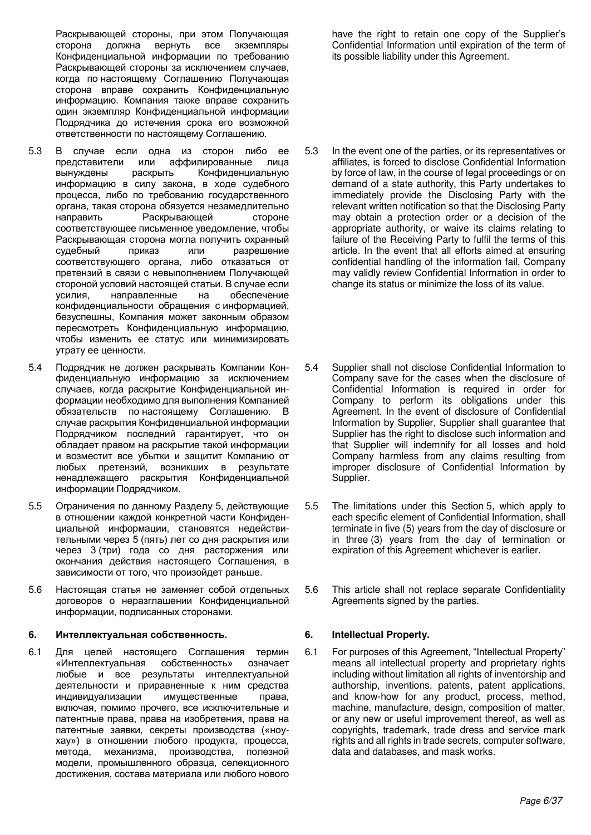Раскрывающей стороны, при этом Получающая<br>сторона и должна вернуть все экземпляры экземпляры Конфиденциальной информации по требованию Раскрывающей стороны за исключением случаев, когда по настоящему Соглашению Получающая сторона вправе сохранить Конфиденциальную информацию. Компания также вправе сохранить один экземпляр Конфиденциальной информации Подрядчика до истечения срока его возможной ответственности по настоящему Соглашению.

- 5.3 В случае если одна из сторон либо ее<br>представители или аффилированные лица представители или аффилированные лица<br>вынуждены раскрыть Конфиденциальную вынуждены раскрыть Конфиденциальную информацию в силу закона, в ходе судебного процесса, либо по требованию государственного органа, такая сторона обязуется незамедлительно направить Раскрывающей стороне соответствующее письменное уведомление, чтобы Раскрывающая сторона могла получить охранный судебный приказ или разрешение соответствующего органа, либо отказаться от претензий в связи с невыполнением Получающей стороной условий настоящей статьи. В случае если үсилия, направленные на обеспечение конфиденциальности обращения с информацией, безуспешны, Компания может законным образом пересмотреть Конфиденциальную информацию, чтобы изменить ее статус или минимизировать утрату ее ценности.
- 5.4 Подрядчик не должен раскрывать Компании Конфиденциальную информацию за исключением случаев, когда раскрытие Конфиденциальной информации необходимо для выполнения Компанией обязательств по настоящему Соглашению. В случае раскрытия Конфиденциальной информации Подрядчиком последний гарантирует, что он обладает правом на раскрытие такой информации и возместит все убытки и защитит Компанию от любых претензий, возникших в результате ненадлежащего раскрытия Конфиденциальной информации Подрядчиком.
- 5.5 Ограничения по данному Разделу 5, действующие в отношении каждой конкретной части Конфиденциальной информации, становятся недействительными через 5 (пять) лет со дня раскрытия или через 3 (три) года со дня расторжения или окончания действия настоящего Соглашения, в зависимости от того, что произойдет раньше.
- 5.6 Настоящая статья не заменяет собой отдельных договоров о неразглашении Конфиденциальной информации, подписанных сторонами.

### **6.** Интеллектуальная собственность. **6. Intellectual Property.**

6.1 Для целей настоящего Соглашения термин «Интеллектуальная собственность» означает любые и все результаты интеллектуальной деятельности и приравненные к ним средства индивидуализации имущественные права, включая, помимо прочего, все исключительные и патентные права, права на изобретения, права на патентные заявки, секреты производства («ноухау») в отношении любого продукта, процесса, метода, механизма, производства, полезной модели, промышленного образца, селекционного достижения, состава материала или любого нового have the right to retain one copy of the Supplier's Confidential Information until expiration of the term of its possible liability under this Agreement.

- 5.3 In the event one of the parties, or its representatives or affiliates, is forced to disclose Confidential Information by force of law, in the course of legal proceedings or on demand of a state authority, this Party undertakes to immediately provide the Disclosing Party with the relevant written notification so that the Disclosing Party may obtain a protection order or a decision of the appropriate authority, or waive its claims relating to failure of the Receiving Party to fulfil the terms of this article. In the event that all efforts aimed at ensuring confidential handling of the information fail, Company may validly review Confidential Information in order to change its status or minimize the loss of its value.
- 5.4 Supplier shall not disclose Confidential Information to Company save for the cases when the disclosure of Confidential Information is required in order for Company to perform its obligations under this Agreement. In the event of disclosure of Confidential Information by Supplier, Supplier shall guarantee that Supplier has the right to disclose such information and that Supplier will indemnify for all losses and hold Company harmless from any claims resulting from improper disclosure of Confidential Information by Supplier.
- 5.5 The limitations under this Section 5, which apply to each specific element of Confidential Information, shall terminate in five (5) years from the day of disclosure or in three (3) years from the day of termination or expiration of this Agreement whichever is earlier.
- 5.6 This article shall not replace separate Confidentiality Agreements signed by the parties.

6.1 For purposes of this Agreement, "Intellectual Property" means all intellectual property and proprietary rights including without limitation all rights of inventorship and authorship, inventions, patents, patent applications, and know-how for any product, process, method, machine, manufacture, design, composition of matter, or any new or useful improvement thereof, as well as copyrights, trademark, trade dress and service mark rights and all rights in trade secrets, computer software, data and databases, and mask works.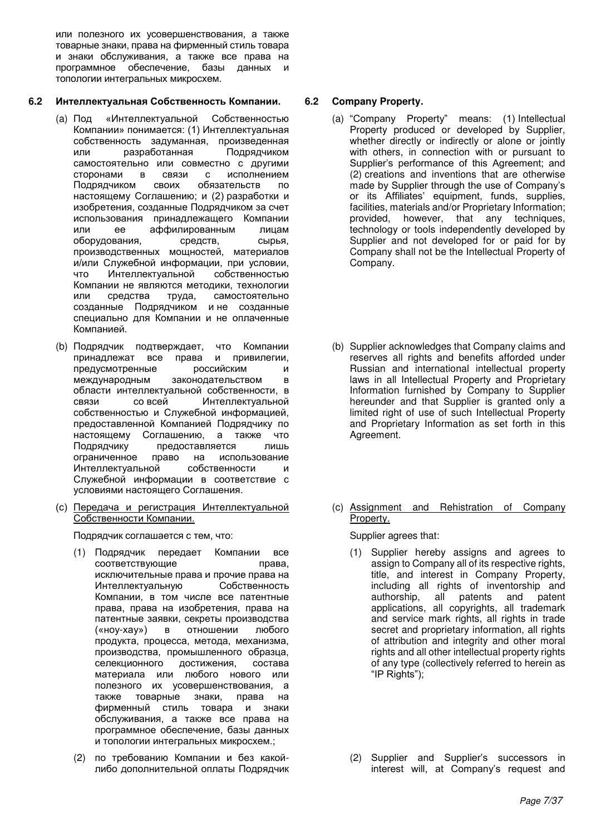или полезного их усовершенствования, а также товарные знаки, права на фирменный стиль товара и знаки обслуживания, а также все права на программное обеспечение, базы данных и топологии интегральных микросхем.

## **6.2 ɂɧɬɟɥɥɟɤɬɭɚɥɶɧɚɹ ɋɨɛɫɬɜɟɧɧɨɫɬɶ Ʉɨɦɩɚɧɢɢ. 6.2 Company Property.**

- (а) Под «Интеллектуальной Собственностью Компании» понимается: (1) Интеллектуальная собственность задуманная, произведенная или разработанная Подрядчиком самостоятельно или совместно с другими сторонами в связи с исполнением Подрядчиком своих обязательств по настоящему Соглашению; и (2) разработки и изобретения, созданные Подрядчиком за счет использования принадлежащего Компании или ее аффилированным лицам оборудования, средств, сырья, производственных мощностей, материалов и/или Служебной информации, при условии, что Интеллектуальной собственностью Компании не являются методики, технологии или средства труда, самостоятельно созданные Подрядчиком и не созданные специально для Компании и не оплаченные Компанией.
- (b) Подрядчик подтверждает, что Компании принадлежат все права и привилегии,<br>предусмотренные российским и предусмотренные российским и международным законодательством в области интеллектуальной собственности, в связи со всей Интеллектуальной собственностью и Служебной информацией, предоставленной Компанией Подрядчику по настоящему Соглашению, а также что Подрядчику предоставляется лишь ограниченное право на использование Интеллектуальной собственности и Служебной информации в соответствие с условиями настоящего Соглашения.
- (с) Передача и регистрация Интеллектуальной Собственности Компании.

Подрядчик соглашается с тем, что: Supplier agrees that:

- (1) Подрядчик передает Компании все соответствующие права, исключительные права и прочие права на Интеллектуальную Собственность Компании, в том числе все патентные права, права на изобретения, права на патентные заявки, секреты производства («ноу-хау») в отношении любого продукта, процесса, метода, механизма, производства, промышленного образца, селекционного достижения, состава материала или любого нового или полезного их усовершенствования, а также товарные знаки, права на фирменный стиль товара и знаки обслуживания, а также все права на программное обеспечение, базы данных и топологии интегральных микросхем.;
- (2) по требованию Компании и без какойлибо дополнительной оплаты Подрядчик

- (a) "Company Property" means: (1) Intellectual Property produced or developed by Supplier, whether directly or indirectly or alone or jointly with others, in connection with or pursuant to Supplier's performance of this Agreement; and (2) creations and inventions that are otherwise made by Supplier through the use of Company's or its Affiliates' equipment, funds, supplies, facilities, materials and/or Proprietary Information; provided, however, that any techniques, technology or tools independently developed by Supplier and not developed for or paid for by Company shall not be the Intellectual Property of Company.
- (b) Supplier acknowledges that Company claims and reserves all rights and benefits afforded under Russian and international intellectual property laws in all Intellectual Property and Proprietary Information furnished by Company to Supplier hereunder and that Supplier is granted only a limited right of use of such Intellectual Property and Proprietary Information as set forth in this Agreement.
- (c) Assignment and Rehistration of Company Property.

- (1) Supplier hereby assigns and agrees to assign to Company all of its respective rights, title, and interest in Company Property, including all rights of inventorship and authorship, all patents and applications, all copyrights, all trademark and service mark rights, all rights in trade secret and proprietary information, all rights of attribution and integrity and other moral rights and all other intellectual property rights of any type (collectively referred to herein as "IP Rights");
- (2) Supplier and Supplier's successors in interest will, at Company's request and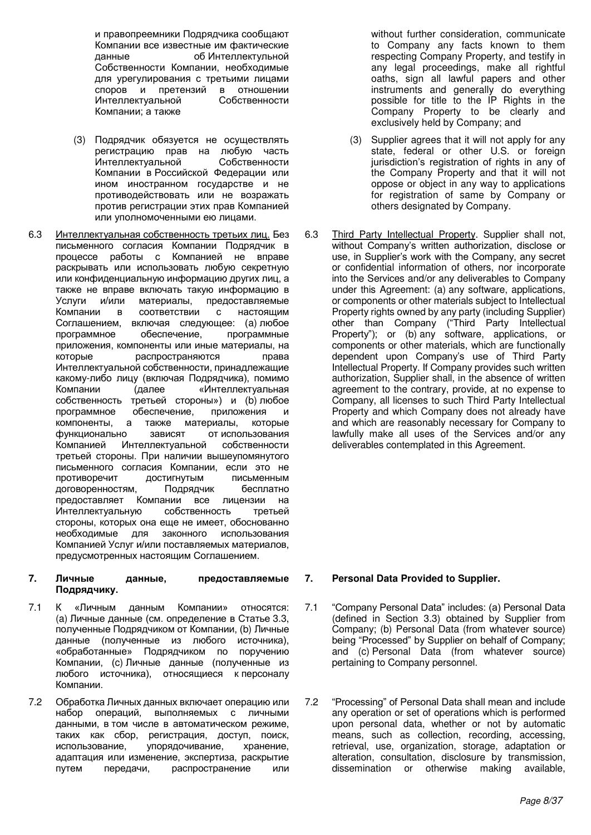и правопреемники Подрядчика сообщают Компании все известные им фактические<br>данные сб Интеллектульной об Интеллектульной Собственности Компании, необходимые для урегулирования с третьими лицами споров и претензий в отношении Интеллектуальной Собственности Компании; а также

- (3) Подрядчик обязуется не осуществлять регистрацию прав на любую часть<br>Интеллектуальной собственности Интеллектуальной Компании в Российской Федерации или ином иностранном государстве и не противодействовать или не возражать против регистрации этих прав Компанией или уполномоченными ею лицами.
- 6.3 Интеллектуальная собственность третьих лиц. Без письменного согласия Компании Подрядчик в процессе работы с Компанией не вправе раскрывать или использовать любую секретную или конфиденциальную информацию других лиц, а также не вправе включать такую информацию в Услуги и/или материалы, предоставляемые Компании в соответствии с настоящим Соглашением, включая следующее: (а) любое программное обеспечение, программные приложения, компоненты или иные материалы, на которые распространяются права Интеллектуальной собственности, принадлежащие какому-либо лицу (включая Подрядчика), помимо Компании (далее «Интеллектуальная собственность третьей стороны») и (b) любое программное обеспечение, приложения и компоненты, а также материалы, которые функционально зависят от использования Компанией Интеллектуальной собственности третьей стороны. При наличии вышеупомянутого письменного согласия Компании, если это не противоречит достигнутым письменным договоренностям, Подрядчик бесплатно предоставляет Компании все лицензии на Интеллектуальную собственность третьей стороны, которых она еще не имеет, обоснованно необходимые для законного использования Компанией Услуг и/или поставляемых материалов, предусмотренных настоящим Соглашением.

### 7. Личные данные, предоставляемые Подрядчику.

- 7.1 К «Личным данным Компании» относятся: (а) Личные данные (см. определение в Статье 3.3, полученные Подрядчиком от Компании, (b) Личные данные (полученные из любого источника), «обработанные» Подрядчиком по поручению Компании, (с) Личные данные (полученные из любого источника), относящиеся к персоналу Компании.
- 7.2 Обработка Личных данных включает операцию или набор операций, выполняемых с личными данными, в том числе в автоматическом режиме, таких как сбор, регистрация, доступ, поиск, использование, упорядочивание, хранение, адаптация или изменение, экспертиза, раскрытие путем передачи, распространение или

without further consideration, communicate to Company any facts known to them respecting Company Property, and testify in any legal proceedings, make all rightful oaths, sign all lawful papers and other instruments and generally do everything possible for title to the IP Rights in the Company Property to be clearly and exclusively held by Company; and

- (3) Supplier agrees that it will not apply for any state, federal or other U.S. or foreign jurisdiction's registration of rights in any of the Company Property and that it will not oppose or object in any way to applications for registration of same by Company or others designated by Company.
- 6.3 Third Party Intellectual Property. Supplier shall not, without Company's written authorization, disclose or use, in Supplier's work with the Company, any secret or confidential information of others, nor incorporate into the Services and/or any deliverables to Company under this Agreement: (a) any software, applications, or components or other materials subject to Intellectual Property rights owned by any party (including Supplier) other than Company ("Third Party Intellectual Property"); or (b) any software, applications, or components or other materials, which are functionally dependent upon Company's use of Third Party Intellectual Property. If Company provides such written authorization, Supplier shall, in the absence of written agreement to the contrary, provide, at no expense to Company, all licenses to such Third Party Intellectual Property and which Company does not already have and which are reasonably necessary for Company to lawfully make all uses of the Services and/or any deliverables contemplated in this Agreement.

## **7. Personal Data Provided to Supplier.**

- 7.1 "Company Personal Data" includes: (a) Personal Data (defined in Section 3.3) obtained by Supplier from Company; (b) Personal Data (from whatever source) being "Processed" by Supplier on behalf of Company; and (c) Personal Data (from whatever source) pertaining to Company personnel.
- 7.2 "Processing" of Personal Data shall mean and include any operation or set of operations which is performed upon personal data, whether or not by automatic means, such as collection, recording, accessing, retrieval, use, organization, storage, adaptation or alteration, consultation, disclosure by transmission, dissemination or otherwise making available,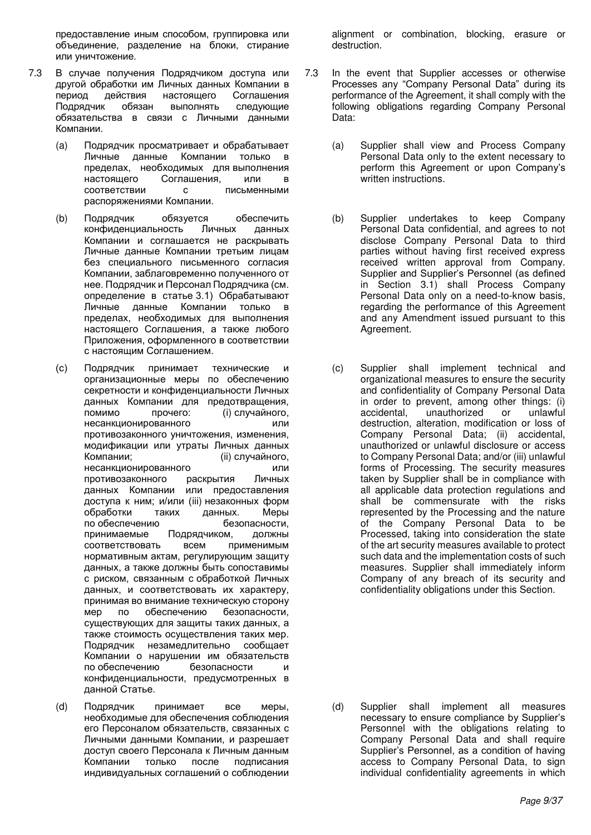предоставление иным способом, группировка или объединение, разделение на блоки, стирание или уничтожение.

- 7.3 В случае получения Подрядчиком доступа или другой обработки им Личных данных Компании в<br>период и действия настоящего Соглашения период действия настоящего Соглашения<br>Подрядчик обязан выполнять следующие следующие обязательства в связи с Личными данными Компании.
	- (а) Подрядчик просматривает и обрабатывает Личные данные Компании только в пределах, необходимых длявыполнения<br>настоящего Соглашения. или в настоящего Соглашения, или в<br>соответствии с письменными соответствии с распоряжениями Компании.
	- (b) Подрядчик обязуется обеспечить конфиденциальность Личных данных Компании и соглашается не раскрывать Личные данные Компании третьим лицам без специального письменного согласия Компании, заблаговременно полученного от нее. Подрядчик и Персонал Подрядчика (см. определение в статье 3.1) Обрабатывают Личные данные Компании только в пределах, необходимых для выполнения настоящего Соглашения, а также любого Приложения, оформленного в соответствии с настоящим Соглашением.
	- (c) Подрядчик принимает технические и организационные меры по обеспечению секретности и конфиденциальности Личных данных Компании для предотвращения, помимо прочего: (i) случайного, несанкционированного или противозаконного уничтожения, изменения, модификации или утраты Личных данных Компании; (ii) случайного, несанкционированного или противозаконного раскрытия Личных данных Компании или предоставления доступа к ним; и/или (iii) незаконных форм обработки таких данных. Меры по обеспечению безопасности, принимаемые Подрядчиком, должны соответствовать всем применимым нормативным актам, регулирующим защиту данных, а также должны быть сопоставимы с риском, связанным с обработкой Личных данных, и соответствовать их характеру, принимая во внимание техническую сторону мер по обеспечению безопасности, существующих для защиты таких данных, а также стоимость осуществления таких мер. Подрядчик незамедлительно сообщает Компании о нарушении им обязательств по обеспечению безопасности и конфиденциальности, предусмотренных в данной Статье.
	- (d) Подрядчик принимает все меры, необходимые для обеспечения соблюдения его Персоналом обязательств, связанных с Личными данными Компании, и разрешает доступ своего Персонала к Личным данным Компании только после подписания индивидуальных соглашений о соблюдении

alignment or combination, blocking, erasure or destruction.

- 7.3 In the event that Supplier accesses or otherwise Processes any "Company Personal Data" during its performance of the Agreement, it shall comply with the following obligations regarding Company Personal Data:
	- (a) Supplier shall view and Process Company Personal Data only to the extent necessary to perform this Agreement or upon Company's written instructions.
	- (b) Supplier undertakes to keep Company Personal Data confidential, and agrees to not disclose Company Personal Data to third parties without having first received express received written approval from Company. Supplier and Supplier's Personnel (as defined in Section 3.1) shall Process Company Personal Data only on a need-to-know basis, regarding the performance of this Agreement and any Amendment issued pursuant to this Agreement.
	- (c) Supplier shall implement technical and organizational measures to ensure the security and confidentiality of Company Personal Data in order to prevent, among other things: (i) accidental, unauthorized or unlawful destruction, alteration, modification or loss of Company Personal Data; (ii) accidental, unauthorized or unlawful disclosure or access to Company Personal Data; and/or (iii) unlawful forms of Processing. The security measures taken by Supplier shall be in compliance with all applicable data protection regulations and shall be commensurate with the risks represented by the Processing and the nature of the Company Personal Data to be Processed, taking into consideration the state of the art security measures available to protect such data and the implementation costs of such measures. Supplier shall immediately inform Company of any breach of its security and confidentiality obligations under this Section.

(d) Supplier shall implement all measures necessary to ensure compliance by Supplier's Personnel with the obligations relating to Company Personal Data and shall require Supplier's Personnel, as a condition of having access to Company Personal Data, to sign individual confidentiality agreements in which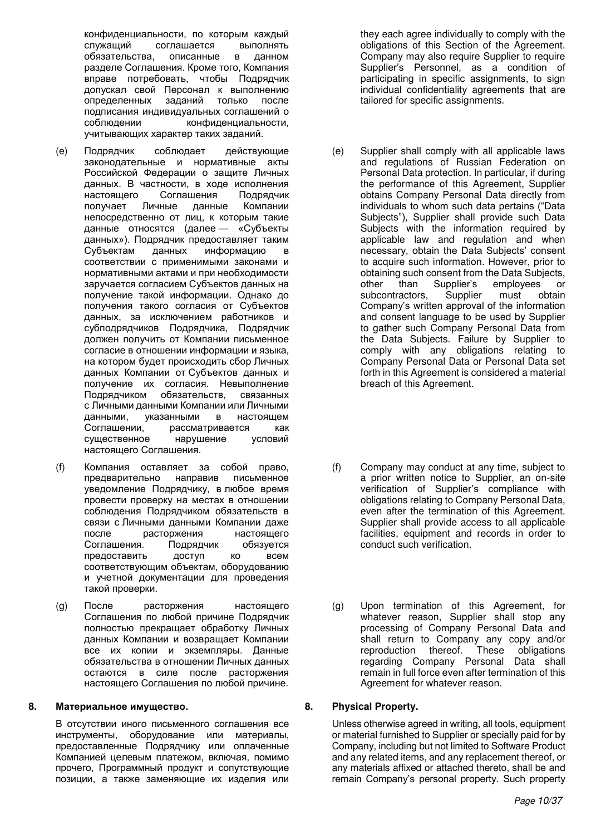конфиденциальности, по которым каждый<br>служащий соглашается выполнять соглашается выполнять<br>рависанные в данном обязательства. разделе Соглашения. Кроме того, Компания вправе потребовать, чтобы Подрядчик допускал свой Персонал к выполнению определенных заданий только после подписания индивидуальных соглашений о соблюдении конфиденциальности, учитывающих характер таких заданий.

- (e) Подрядчик соблюдает действующие законодательные и нормативные акты Российской Федерации о защите Личных данных. В частности, в ходе исполнения настоящего Соглашения Подрядчик<br>получает Личные данные Компании получает Личные данные Компании непосредственно от лиц, к которым такие данные относятся (далее — «Субъекты данных»). Подрядчик предоставляет таким Субъектам данных информацию в соответствии с применимыми законами и нормативными актами и при необходимости заручается согласием Субъектов данных на получение такой информации. Однако до получения такого согласия от Субъектов данных, за исключением работников и субподрядчиков Подрядчика, Подрядчик должен получить от Компании письменное согласие в отношении информации и языка, на котором будет происходить сбор Личных данных Компании от Субъектов данных и получение их согласия. Невыполнение Подрядчиком обязательств, связанных с Личными данными Компании или Личными данными, указанными в настоящем Соглашении, рассматривается как существенное нарушение условий настоящего Соглашения.
- (f) Компания оставляет за собой право, предварительно направив письменное уведомление Подрядчику, в любое время провести проверку на местах в отношении соблюдения Подрядчиком обязательств в связи с Личными данными Компании даже после расторжения настоящего Соглашения. Подрядчик обязуется предоставить доступ ко всем соответствующим объектам, оборудованию и учетной документации для проведения такой проверки.
- (g) После расторжения настоящего Соглашения по любой причине Подрядчик полностью прекращает обработку Личных данных Компании и возвращает Компании все их копии и экземпляры. Данные обязательства в отношении Личных данных остаются в силе после расторжения настоящего Соглашения по любой причине.

### 8. Материальное имущество. **Владая и тема и в таких в 8.** Physical Property.

В отсутствии иного письменного соглашения все инструменты, оборудование или материалы, предоставленные Подрядчику или оплаченные Компанией целевым платежом, включая, помимо прочего, Программный продукт и сопутствующие позиции, а также заменяющие их изделия или

they each agree individually to comply with the obligations of this Section of the Agreement. Company may also require Supplier to require Supplier's Personnel, as a condition of participating in specific assignments, to sign individual confidentiality agreements that are tailored for specific assignments.

- (e) Supplier shall comply with all applicable laws and regulations of Russian Federation on Personal Data protection. In particular, if during the performance of this Agreement, Supplier obtains Company Personal Data directly from individuals to whom such data pertains ("Data Subjects"), Supplier shall provide such Data Subjects with the information required by applicable law and regulation and when necessary, obtain the Data Subjects' consent to acquire such information. However, prior to obtaining such consent from the Data Subjects, other than Supplier's employees or subcontractors, Supplier must obtain Company's written approval of the information and consent language to be used by Supplier to gather such Company Personal Data from the Data Subjects. Failure by Supplier to comply with any obligations relating to Company Personal Data or Personal Data set forth in this Agreement is considered a material breach of this Agreement.
- (f) Company may conduct at any time, subject to a prior written notice to Supplier, an on-site verification of Supplier's compliance with obligations relating to Company Personal Data, even after the termination of this Agreement. Supplier shall provide access to all applicable facilities, equipment and records in order to conduct such verification.
- (g) Upon termination of this Agreement, for whatever reason, Supplier shall stop any processing of Company Personal Data and shall return to Company any copy and/or reproduction thereof. These obligations regarding Company Personal Data shall remain in full force even after termination of this Agreement for whatever reason.

Unless otherwise agreed in writing, all tools, equipment or material furnished to Supplier or specially paid for by Company, including but not limited to Software Product and any related items, and any replacement thereof, or any materials affixed or attached thereto, shall be and remain Company's personal property. Such property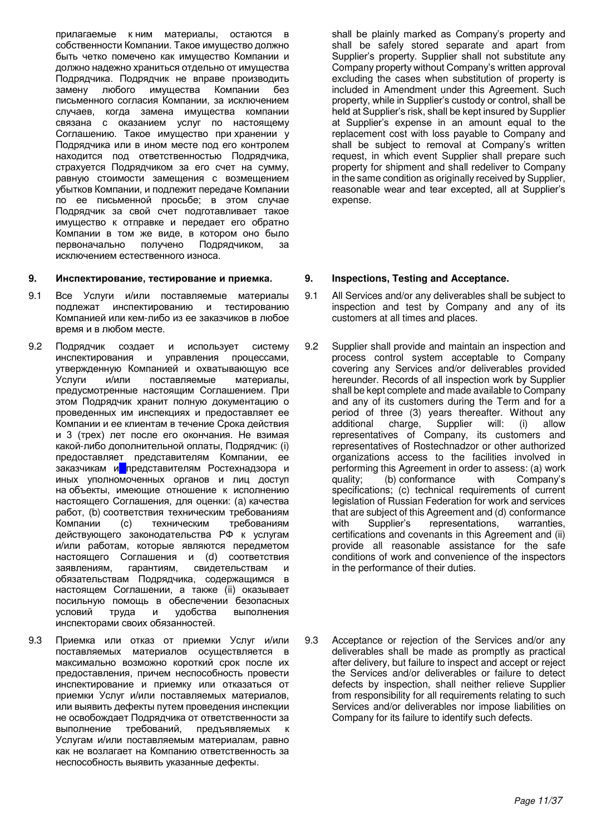прилагаемые кним материалы, остаются в собственности Компании. Такое имущество должно быть четко помечено как имущество Компании и должно надежно храниться отдельно от имущества Подрядчика. Подрядчик не вправе производить замену любого имущества Компании без письменного согласия Компании, за исключением случаев, когда замена имущества компании связана с оказанием услуг по настоящему Соглашению. Такое имущество при хранении у Подрядчика или в ином месте под его контролем находится под ответственностью Подрядчика, страхуется Подрядчиком за его счет на сумму, равную стоимости замещения с возмещением убытков Компании, и подлежит передаче Компании по ее письменной просьбе; в этом случае Подрядчик за свой счет подготавливает такое имущество к отправке и передает его обратно Компании в том же виде, в котором оно было<br>первоначально и получено Подрядчиком, за первоначально получено Подрядчиком, за исключением естественного износа.

### **9. Инспектирование, тестирование и приемка. В. В. Inspections, Testing and Acceptance.**

- 9.1 Все Услуги и/или поставляемые материалы подлежат инспектированию и тестированию Компанией или кем-либо из ее заказчиков в любое время и в любом месте.
- 9.2 Подрядчик создает и использует систему инспектирования и управления процессами, утвержденную Компанией и охватывающую все<br>Услуги и/или поставляемые материалы. поставляемые материалы, предусмотренные настоящим Соглашением. При этом Подрядчик хранит полную документацию о проведенных им инспекциях и предоставляет ее Компании и ее клиентам в течение Срока действия и 3 (трех) лет после его окончания. Не взимая какой-либо дополнительной оплаты, Подрядчик: (i) предоставляет представителям Компании, ее заказчикам и представителям Ростехнадзора и иных уполномоченных органов и лиц доступ на объекты, имеющие отношение к исполнению настоящего Соглашения, для оценки: (а) качества работ, (b) соответствия техническим требованиям Компании (c) техническим требованиям действующего законодательства РФ к услугам и/или работам, которые являются передметом настоящего Соглашения и (d) соответствия заявлениям, гарантиям, свидетельствам и обязательствам Подрядчика, содержащимся в настоящем Соглашении, а также (ii) оказывает посильную помощь в обеспечении безопасных<br>условий труда и удобства выполнения условий труда и удобства выполнения инспекторами своих обязанностей.
- 9.3 Приемка или отказ от приемки Услуг и/или поставляемых материалов осуществляется в максимально возможно короткий срок после их предоставления, причем неспособность провести инспектирование и приемку или отказаться от приемки Услуг и/или поставляемых материалов, или выявить дефекты путем проведения инспекции не освобождает Подрядчика от ответственности за выполнение требований, предъявляемых к Услугам и/или поставляемым материалам, равно как не возлагает на Компанию ответственность за неспособность выявить указанные дефекты.

shall be plainly marked as Company's property and shall be safely stored separate and apart from Supplier's property. Supplier shall not substitute any Company property without Company's written approval excluding the cases when substitution of property is included in Amendment under this Agreement. Such property, while in Supplier's custody or control, shall be held at Supplier's risk, shall be kept insured by Supplier at Supplier's expense in an amount equal to the replacement cost with loss payable to Company and shall be subject to removal at Company's written request, in which event Supplier shall prepare such property for shipment and shall redeliver to Company in the same condition as originally received by Supplier, reasonable wear and tear excepted, all at Supplier's expense.

- 9.1 All Services and/or any deliverables shall be subject to inspection and test by Company and any of its customers at all times and places.
- 9.2 Supplier shall provide and maintain an inspection and process control system acceptable to Company covering any Services and/or deliverables provided hereunder. Records of all inspection work by Supplier shall be kept complete and made available to Company and any of its customers during the Term and for a period of three (3) years thereafter. Without any additional charge, Supplier will: (i) allow additional charge, Supplier will: (i) allow representatives of Company, its customers and representatives of Rostechnadzor or other authorized organizations access to the facilities involved in performing this Agreement in order to assess: (a) work quality; (b) conformance with Company's specifications; (c) technical requirements of current legislation of Russian Federation for work and services that are subject of this Agreement and (d) conformance with Supplier's representations, warranties, certifications and covenants in this Agreement and (ii) provide all reasonable assistance for the safe conditions of work and convenience of the inspectors in the performance of their duties.
- 9.3 Acceptance or rejection of the Services and/or any deliverables shall be made as promptly as practical after delivery, but failure to inspect and accept or reject the Services and/or deliverables or failure to detect defects by inspection, shall neither relieve Supplier from responsibility for all requirements relating to such Services and/or deliverables nor impose liabilities on Company for its failure to identify such defects.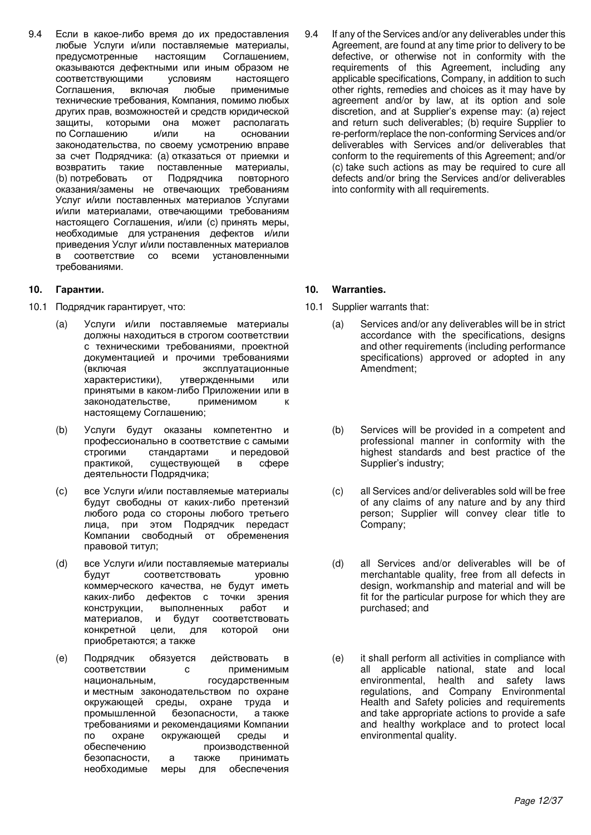9.4 Если в какое-либо время до их предоставления любые Услуги и/или поставляемые материалы,<br>предусмотренные настоящим Соглашением, предусмотренные оказываются дефектными или иным образом не соответствующими условиям настоящего Соглашения, включая любые применимые технические требования, Компания, помимо любых других прав, возможностей и средств юридической защиты, которыми она может располагать по Соглашению и/или на основании законодательства, по своему усмотрению вправе за счет Подрядчика: (а) отказаться от приемки и возвратить такие поставленные материалы, (b) потребовать от Подрядчика повторного оказания/замены не отвечающих требованиям Услуг и/или поставленных материалов Услугами и/или материалами, отвечающими требованиям настоящего Соглашения, и/или (с) принять меры, необходимые для устранения дефектов и/или приведения Услуг и/или поставленных материалов в соответствие со всеми установленными требованиями.

- 10.1 Подрядчик гарантирует, что: использование и таки на 10.1 Supplier warrants that:
	- (a) Услуги и/или поставляемые материалы должны находиться в строгом соответствии с техническими требованиями, проектной документацией и прочими требованиями (включая эксплуатационные характеристики), утвержденными или принятыми в каком-либо Приложении или в законодательстве, применимом к настоящему Соглашению;
	- (b) Услуги будут оказаны компетентно и профессионально в соответствие с самыми строгими стандартами и передовой практикой, существующей в сфере деятельности Подрядчика;
	- (c) все Услуги и/или поставляемые материалы будут свободны от каких-либо претензий любого рода со стороны любого третьего лица, при этом Подрядчик передаст Компании свободный от обременения правовой титул;
	- (d) все Услуги и/или поставляемые материалы будут соответствовать уровню коммерческого качества, не будут иметь каких-либо дефектов с точки зрения конструкции, выполненных работ и материалов, и будут соответствовать конкретной цели, для которой они приобретаются; а также
	- (e) Подрядчик обязуется действовать в соответствии с применимым национальным, посударственным и местным законодательством по охране окружающей среды, охране труда и промышленной безопасности, а также требованиями и рекомендациями Компании по охране окружающей среды и обеспечению производственной безопасности, а также принимать необходимые меры для обеспечения

9.4 If any of the Services and/or any deliverables under this Agreement, are found at any time prior to delivery to be defective, or otherwise not in conformity with the requirements of this Agreement, including any applicable specifications, Company, in addition to such other rights, remedies and choices as it may have by agreement and/or by law, at its option and sole discretion, and at Supplier's expense may: (a) reject and return such deliverables; (b) require Supplier to re-perform/replace the non-conforming Services and/or deliverables with Services and/or deliverables that conform to the requirements of this Agreement; and/or (c) take such actions as may be required to cure all defects and/or bring the Services and/or deliverables into conformity with all requirements.

## **10. Гарантии. 10. Warranties. 10. Warranties.**

- - (a) Services and/or any deliverables will be in strict accordance with the specifications, designs and other requirements (including performance specifications) approved or adopted in any Amendment;
	- (b) Services will be provided in a competent and professional manner in conformity with the highest standards and best practice of the Supplier's industry;
	- (c) all Services and/or deliverables sold will be free of any claims of any nature and by any third person; Supplier will convey clear title to Company;
	- (d) all Services and/or deliverables will be of merchantable quality, free from all defects in design, workmanship and material and will be fit for the particular purpose for which they are purchased; and
	- (e) it shall perform all activities in compliance with all applicable national, state and local environmental, health and safety laws regulations, and Company Environmental Health and Safety policies and requirements and take appropriate actions to provide a safe and healthy workplace and to protect local environmental quality.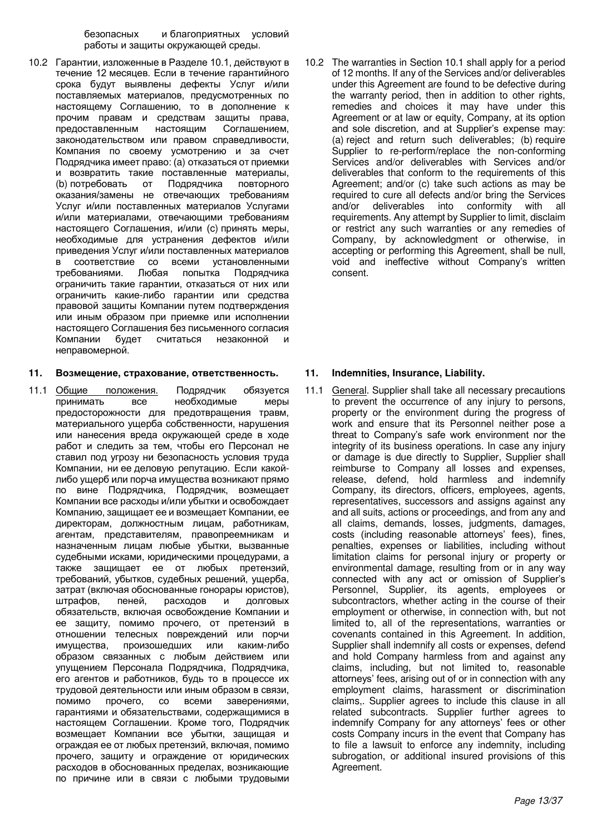безопасных и благоприятных условий работы и защиты окружающей среды.

10.2 Гарантии, изложенные в Разделе 10.1, действуют в течение 12 месяцев. Если в течение гарантийного срока будут выявлены дефекты Услуг и/или поставляемых материалов, предусмотренных по настоящему Соглашению, то в дополнение к прочим правам и средствам защиты права,<br>предоставленным настоящим Соглашением, предоставленным законодательством или правом справедливости, Компания по своему усмотрению и за счет Подрядчика имеет право: (а) отказаться от приемки и возвратить такие поставленные материалы, (b) потребовать от Подрядчика повторного оказания/замены не отвечающих требованиям Услуг и/или поставленных материалов Услугами и/или материалами, отвечающими требованиям настоящего Соглашения, и/или (с) принять меры, необходимые для устранения дефектов и/или приведения Услуг и/или поставленных материалов в соответствие со всеми установленными<br>требованиями. Любая попытка Подрядчика требованиями. Любая попытка Подрядчика ограничить такие гарантии, отказаться от них или ограничить какие-либо гарантии или средства правовой защиты Компании путем подтверждения или иным образом при приемке или исполнении настоящего Соглашения без письменного согласия Компании будет считаться незаконной и неправомерной.

### 11. Возмещение, страхование, ответственность. 11. Indemnities, Insurance, Liability.

11.1 Общие положения. Подрядчик обязуется принимать все необходимые меры предосторожности для предотвращения травм, материального ущерба собственности, нарушения или нанесения вреда окружающей среде в ходе работ и следить за тем, чтобы его Персонал не ставил под угрозу ни безопасность условия труда Компании, ни ее деловую репутацию. Если какойлибо ущерб или порча имущества возникают прямо по вине Подрядчика, Подрядчик, возмещает Компании все расходы и/или убытки и освобождает Компанию, защищает ее и возмещает Компании, ее директорам, должностным лицам, работникам, агентам, представителям, правопреемникам и назначенным лицам любые убытки, вызванные судебными исками, юридическими процедурами, а также защищает ее от любых претензий, требований, убытков, судебных решений, ущерба, затрат (включая обоснованные гонорары юристов),<br>штрафов, пеней, расходов и долговых штрафов, пеней, расходов и долговых обязательств, включая освобождение Компании и ее защиту, помимо прочего, от претензий в отношении телесных повреждений или порчи имущества, произошедших или каким-либо образом связанных с любым действием или упущением Персонала Подрядчика, Подрядчика, его агентов и работников, будь то в процессе их трудовой деятельности или иным образом в связи, помимо прочего, со всеми заверениями, гарантиями и обязательствами, содержащимися в настоящем Соглашении. Кроме того, Подрядчик возмещает Компании все убытки, защищая и ограждая ее от любых претензий, включая, помимо прочего, защиту и ограждение от юридических расходов в обоснованных пределах, возникающие по причине или в связи с любыми трудовыми

10.2 The warranties in Section 10.1 shall apply for a period of 12 months. If any of the Services and/or deliverables under this Agreement are found to be defective during the warranty period, then in addition to other rights, remedies and choices it may have under this Agreement or at law or equity, Company, at its option and sole discretion, and at Supplier's expense may: (a) reject and return such deliverables; (b) require Supplier to re-perform/replace the non-conforming Services and/or deliverables with Services and/or deliverables that conform to the requirements of this Agreement; and/or (c) take such actions as may be required to cure all defects and/or bring the Services and/or deliverables into conformity with all requirements. Any attempt by Supplier to limit, disclaim or restrict any such warranties or any remedies of Company, by acknowledgment or otherwise, in accepting or performing this Agreement, shall be null, void and ineffective without Company's written consent.

11.1 General. Supplier shall take all necessary precautions to prevent the occurrence of any injury to persons, property or the environment during the progress of work and ensure that its Personnel neither pose a threat to Company's safe work environment nor the integrity of its business operations. In case any injury or damage is due directly to Supplier, Supplier shall reimburse to Company all losses and expenses, release, defend, hold harmless and indemnify Company, its directors, officers, employees, agents, representatives, successors and assigns against any and all suits, actions or proceedings, and from any and all claims, demands, losses, judgments, damages, costs (including reasonable attorneys' fees), fines, penalties, expenses or liabilities, including without limitation claims for personal injury or property or environmental damage, resulting from or in any way connected with any act or omission of Supplier's Personnel, Supplier, its agents, employees or subcontractors, whether acting in the course of their employment or otherwise, in connection with, but not limited to, all of the representations, warranties or covenants contained in this Agreement. In addition, Supplier shall indemnify all costs or expenses, defend and hold Company harmless from and against any claims, including, but not limited to, reasonable attorneys' fees, arising out of or in connection with any employment claims, harassment or discrimination claims,. Supplier agrees to include this clause in all related subcontracts. Supplier further agrees to indemnify Company for any attorneys' fees or other costs Company incurs in the event that Company has to file a lawsuit to enforce any indemnity, including subrogation, or additional insured provisions of this Agreement.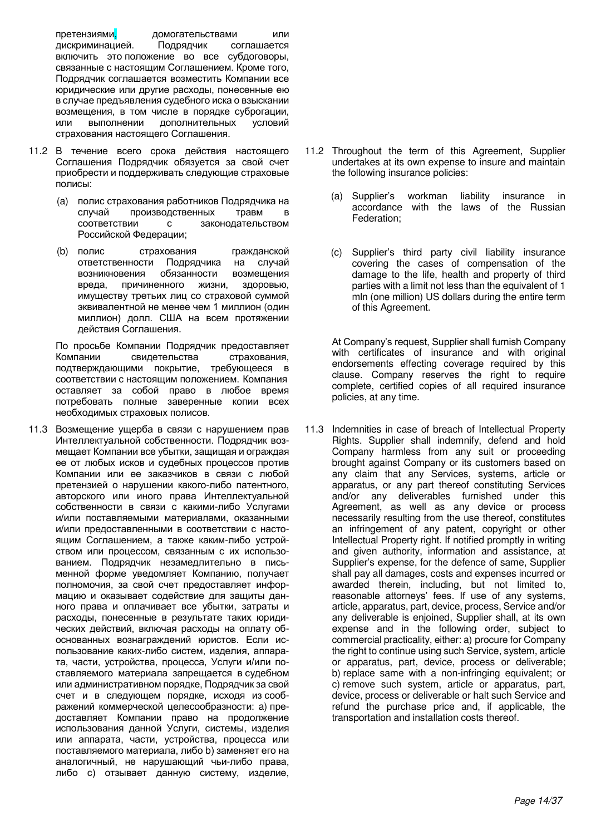претензиями, идомогательствами или<br>дискриминацией. Подрядчик соглашается дискриминацией. включить это положение во все субдоговоры, связанные с настоящим Соглашением. Кроме того, Подрядчик соглашается возместить Компании все юридические или другие расходы, понесенные ею в случае предъявления судебного иска о взыскании возмещения, в том числе в порядке суброгации, или выполнении дополнительных условий страхования настоящего Соглашения.

- 11.2 В течение всего срока действия настоящего Соглашения Подрядчик обязуется за свой счет приобрести и поддерживать следующие страховые полисы:
	- (а) полис страхования работников Подрядчика на<br>случай ироизводственных травм в случай производственных травм в<br>соответствии с законодательством с законодательством Российской Федерации;
	- (b) полис страхования гражданской ответственности Подрядчика на случай возникновения обязанности возмещения вреда, причиненного жизни, здоровью, имуществу третьих лиц со страховой суммой эквивалентной не менее чем 1 миллион (один миллион) долл. США на всем протяжении действия Соглашения.

По просьбе Компании Подрядчик предоставляет<br>Компании свидетельства страхования. свидетельства подтверждающими покрытие, требующееся в соответствии с настоящим положением. Компания оставляет за собой право в любое время потребовать полные заверенные копии всех необходимых страховых полисов.

11.3 Возмещение ущерба в связи с нарушением прав Интеллектуальной собственности. Подрядчик возмещает Компании все убытки, защищая и ограждая ее от любых исков и судебных процессов против Компании или ее заказчиков в связи с любой претензией о нарушении какого-либо патентного, авторского или иного права Интеллектуальной собственности в связи с какими-либо Услугами и/или поставляемыми материалами, оказанными и/или предоставленными в соответствии с настоящим Соглашением, а также каким-либо устройством или процессом, связанным с их использованием. Подрядчик незамедлительно в письменной форме уведомляет Компанию, получает полномочия, за свой счет предоставляет информацию и оказывает содействие для защиты данного права и оплачивает все убытки, затраты и расходы, понесенные в результате таких юридических действий, включая расходы на оплату обоснованных вознаграждений юристов. Если использование каких-либо систем, изделия, аппарата, части, устройства, процесса, Услуги и/или поставляемого материала запрещается в судебном или административном порядке, Подрядчик за свой счет и в следующем порядке, исходя из соображений коммерческой целесообразности: а) предоставляет Компании право на продолжение использования данной Услуги, системы, изделия или аппарата, части, устройства, процесса или поставляемого материала, либо b) заменяет его на аналогичный, не нарушающий чьи-либо права, либо с) отзывает данную систему, изделие,

- 11.2 Throughout the term of this Agreement, Supplier undertakes at its own expense to insure and maintain the following insurance policies:
	- (a) Supplier's workman liability insurance in accordance with the laws of the Russian Federation;
	- (c) Supplier's third party civil liability insurance covering the cases of compensation of the damage to the life, health and property of third parties with a limit not less than the equivalent of 1 mln (one million) US dollars during the entire term of this Agreement.

At Company's request, Supplier shall furnish Company with certificates of insurance and with original endorsements effecting coverage required by this clause. Company reserves the right to require complete, certified copies of all required insurance policies, at any time.

11.3 Indemnities in case of breach of Intellectual Property Rights. Supplier shall indemnify, defend and hold Company harmless from any suit or proceeding brought against Company or its customers based on any claim that any Services, systems, article or apparatus, or any part thereof constituting Services and/or any deliverables furnished under this Agreement, as well as any device or process necessarily resulting from the use thereof, constitutes an infringement of any patent, copyright or other Intellectual Property right. If notified promptly in writing and given authority, information and assistance, at Supplier's expense, for the defence of same, Supplier shall pay all damages, costs and expenses incurred or awarded therein, including, but not limited to, reasonable attorneys' fees. If use of any systems, article, apparatus, part, device, process, Service and/or any deliverable is enjoined, Supplier shall, at its own expense and in the following order, subject to commercial practicality, either: a) procure for Company the right to continue using such Service, system, article or apparatus, part, device, process or deliverable; b) replace same with a non-infringing equivalent; or c) remove such system, article or apparatus, part, device, process or deliverable or halt such Service and refund the purchase price and, if applicable, the transportation and installation costs thereof.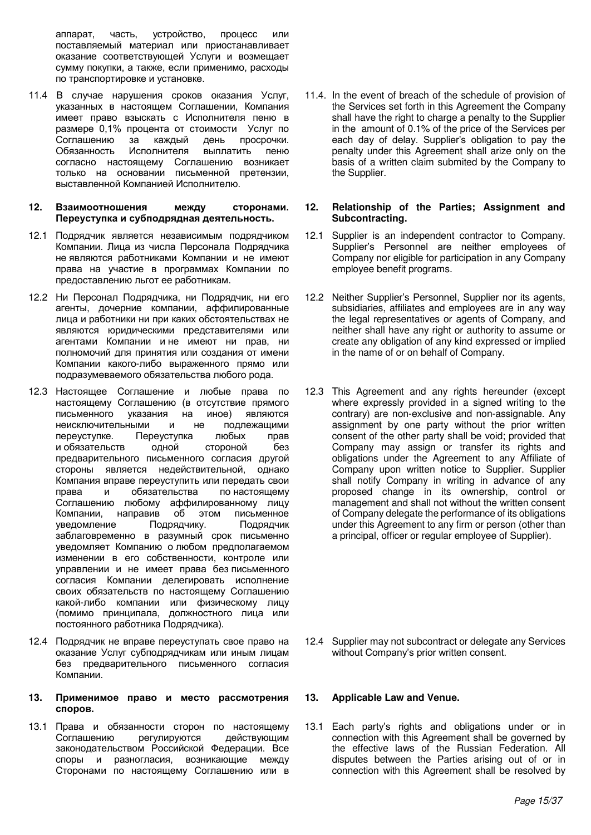аппарат, часть, устройство, процесс или поставляемый материал или приостанавливает оказание соответствующей Услуги и возмещает сумму покупки, а также, если применимо, расходы по транспортировке и установке.

- 11.4 В случае нарушения сроков оказания Услуг, указанных в настоящем Соглашении, Компания имеет право взыскать с Исполнителя пеню в размере 0,1% процента от стоимости Услуг по<br>Соглашению за каждый день просрочки. Соглашению за каждый день про<br>Обязанность Исполнителя выплатить Исполнителя выплатить пеню согласно настоящему Соглашению возникает только на основании письменной претензии. выставленной Компанией Исполнителю.
- 12. Взаимоотношения между сторонами. Переуступка и субподрядная деятельность.
- 12.1 Подрядчик является независимым подрядчиком Компании. Лица из числа Персонала Подрядчика не являются работниками Компании и не имеют права на участие в программах Компании по предоставлению льгот ее работникам.
- 12.2 Ни Персонал Подрядчика, ни Подрядчик, ни его агенты, дочерние компании, аффилированные лица и работники ни при каких обстоятельствах не являются юридическими представителями или агентами Компании и не имеют ни прав, ни полномочий для принятия или создания от имени Компании какого-либо выраженного прямо или подразумеваемого обязательства любого рода.
- 12.3 Настоящее Соглашение и любые права по настоящему Соглашению (в отсутствие прямого письменного указания на иное) являются неисключительными и не подлежащими переуступке. Переуступка любых прав и обязательств одной стороной без предварительного письменного согласия другой стороны является недействительной, однако Компания вправе переуступить или передать свои права и обязательства по настоящему Соглашению любому аффилированному лицу Компании, направив об этом письменное уведомление Подрядчику. Подрядчик заблаговременно в разумный срок письменно уведомляет Компанию о любом предполагаемом изменении в его собственности, контроле или управлении и не имеет права без письменного согласия Компании делегировать исполнение своих обязательств по настоящему Соглашению какой-либо компании или физическому лицу (помимо принципала, должностного лица или постоянного работника Подрядчика).
- 12.4 Подрядчик не вправе переуступать свое право на оказание Услуг субподрядчикам или иным лицам без предварительного письменного согласия Компании.

### 13. Применимое право и место рассмотрения **.**

13.1 Права и обязанности сторон по настоящему Соглашению регулируются действующим законодательством Российской Федерации. Все споры и разногласия, возникающие между Сторонами по настоящему Соглашению или в

11.4. In the event of breach of the schedule of provision of the Services set forth in this Agreement the Company shall have the right to charge a penalty to the Supplier in the amount of 0.1% of the price of the Services per each day of delay. Supplier's obligation to pay the penalty under this Agreement shall arize only on the basis of a written claim submited by the Company to the Supplier.

### **12. Relationship of the Parties; Assignment and Subcontracting.**

- 12.1 Supplier is an independent contractor to Company. Supplier's Personnel are neither employees of Company nor eligible for participation in any Company employee benefit programs.
- 12.2 Neither Supplier's Personnel, Supplier nor its agents, subsidiaries, affiliates and employees are in any way the legal representatives or agents of Company, and neither shall have any right or authority to assume or create any obligation of any kind expressed or implied in the name of or on behalf of Company.
- 12.3 This Agreement and any rights hereunder (except where expressly provided in a signed writing to the contrary) are non-exclusive and non-assignable. Any assignment by one party without the prior written consent of the other party shall be void; provided that Company may assign or transfer its rights and obligations under the Agreement to any Affiliate of Company upon written notice to Supplier. Supplier shall notify Company in writing in advance of any proposed change in its ownership, control or management and shall not without the written consent of Company delegate the performance of its obligations under this Agreement to any firm or person (other than a principal, officer or regular employee of Supplier).

12.4 Supplier may not subcontract or delegate any Services without Company's prior written consent.

## **13. Applicable Law and Venue.**

13.1 Each party's rights and obligations under or in connection with this Agreement shall be governed by the effective laws of the Russian Federation. All disputes between the Parties arising out of or in connection with this Agreement shall be resolved by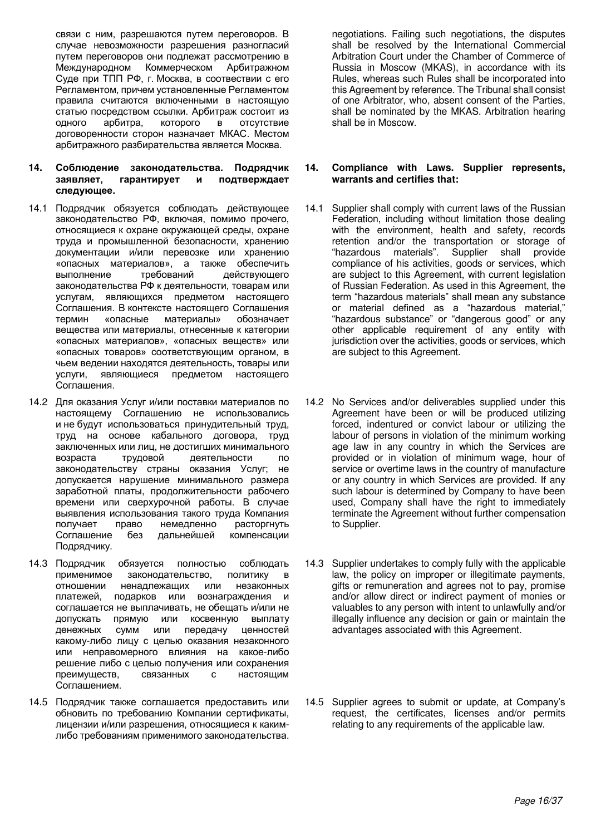связи с ним, разрешаются путем переговоров. В случае невозможности разрешения разногласий путем переговоров они подлежат рассмотрению в Международном Коммерческом Арбитражном Суде при ТПП РФ, г. Москва, в соотвествии с его Регламентом, причем установленные Регламентом правила считаются включенными в настоящую статью посредством ссылки. Арбитраж состоит из одного арбитра, которого в отсутствие договоренности сторон назначает МКАС. Местом арбитражного разбирательства является Москва.

- **14. Соблюдение законодательства. Подрядчик**<br>заявляет, гарантирует и подтверждает и подтверждает следующее.
- 14.1 Подрядчик обязуется соблюдать действующее законодательство РФ, включая, помимо прочего, относящиеся к охране окружающей среды, охране труда и промышленной безопасности, хранению документации и/или перевозке или хранению «опасных материалов», а также обеспечить выполнение требований действующего законодательства РФ к деятельности, товарам или услугам, являющихся предметом настоящего Соглашения. В контексте настоящего Соглашения<br>термин «опасные материалы» обозначает материалы» вещества или материалы, отнесенные к категории «опасных материалов», «опасных веществ» или «опасных товаров» соответствующим органом, в чьем ведении находятся деятельность, товары или услуги, являющиеся предметом настоящего Соглашения.
- 14.2 Для оказания Услуг и/или поставки материалов по настоящему Соглашению не использовались и не будут использоваться принудительный труд, труд на основе кабального договора, труд заключенных или лиц, не достигших минимального возраста трудовой деятельности по законодательству страны оказания Услуг; не допускается нарушение минимального размера заработной платы, продолжительности рабочего времени или сверхурочной работы. В случае выявления использования такого труда Компания получает право немедленно расторгнуть<br>Соглашение без дальнейшей компенсации дальнейшей Подрядчику.
- 14.3 Подрядчик обязуется полностью соблюдать применимое законодательство, политику в отношении ненадлежащих или незаконных платежей, подарков или вознаграждения и соглашается не выплачивать, не обещать и/или не допускать прямую или косвенную выплату денежных сумм или передачу ценностей какому-либо лицу с целью оказания незаконного или неправомерного влияния на какое-либо решение либо с целью получения или сохранения преимуществ, связанных с настоящим Соглашением.
- 14.5 Подрядчик также соглашается предоставить или обновить по требованию Компании сертификаты, лицензии и/или разрешения, относящиеся к какимлибо требованиям применимого законодательства.

negotiations. Failing such negotiations, the disputes shall be resolved by the International Commercial Arbitration Court under the Chamber of Commerce of Russia in Moscow (MKAS), in accordance with its Rules, whereas such Rules shall be incorporated into this Agreement by reference. The Tribunal shall consist of one Arbitrator, who, absent consent of the Parties, shall be nominated by the MKAS. Arbitration hearing shall be in Moscow.

## **14. Compliance with Laws. Supplier represents, warrants and certifies that:**

- 14.1 Supplier shall comply with current laws of the Russian Federation, including without limitation those dealing with the environment, health and safety, records retention and/or the transportation or storage of "hazardous materials". Supplier shall provide compliance of his activities, goods or services, which are subject to this Agreement, with current legislation of Russian Federation. As used in this Agreement, the term "hazardous materials" shall mean any substance or material defined as a "hazardous material," "hazardous substance" or "dangerous good" or any other applicable requirement of any entity with jurisdiction over the activities, goods or services, which are subject to this Agreement.
- 14.2 No Services and/or deliverables supplied under this Agreement have been or will be produced utilizing forced, indentured or convict labour or utilizing the labour of persons in violation of the minimum working age law in any country in which the Services are provided or in violation of minimum wage, hour of service or overtime laws in the country of manufacture or any country in which Services are provided. If any such labour is determined by Company to have been used, Company shall have the right to immediately terminate the Agreement without further compensation to Supplier.
- 14.3 Supplier undertakes to comply fully with the applicable law, the policy on improper or illegitimate payments, gifts or remuneration and agrees not to pay, promise and/or allow direct or indirect payment of monies or valuables to any person with intent to unlawfully and/or illegally influence any decision or gain or maintain the advantages associated with this Agreement*.*
- 14.5 Supplier agrees to submit or update, at Company's request, the certificates, licenses and/or permits relating to any requirements of the applicable law.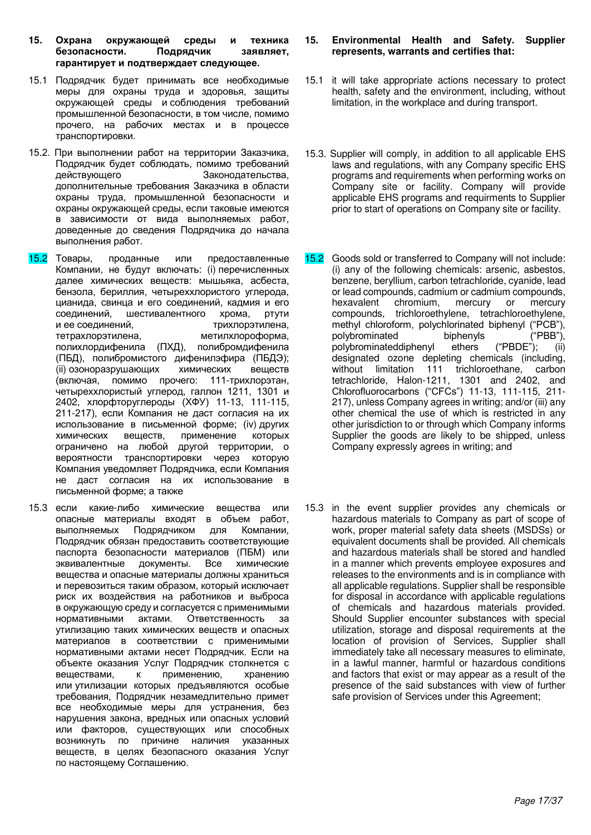- 15. Охрана окружающей среды и техника безопасности. Подрядчик заявляет, гарантирует и подтверждает следующее.
- 15.1 Подрядчик будет принимать все необходимые меры для охраны труда и здоровья, защиты окружающей среды и соблюдения требований промышленной безопасности, в том числе, помимо прочего, на рабочих местах и в процессе транспортировки.
- 15.2. При выполнении работ на территории Заказчика, Подрядчик будет соблюдать, помимо требований действующего Законодательства, дополнительные требования Заказчика в области охраны труда, промышленной безопасности и охраны окружающей среды, если таковые имеются в зависимости от вида выполняемых работ, доведенные до сведения Подрядчика до начала выполнения работ.
- 15.2 Товары, проданные или предоставленные Компании, не будут включать: (i) перечисленных далее химических веществ: мышьяка, асбеста, бензола, бериллия, четыреххлористого углерода, цианида, свинца и его соединений, кадмия и его ɫɨɟɞɢɧɟɧɢɣ, ɲɟɫɬɢɜɚɥɟɧɬɧɨɝɨ ɯɪɨɦɚ, ɪɬɭɬɢ и ее соединений. тетрахлорэтилена, метилхлороформа, полихлордифенила (ПХД), полибромдифенила (ПБД), полибромистого дифенилэфира (ПБДЭ); (ii) озоноразрушающих химических веществ (включая, помимо прочего: 111-трихлорэтан, четыреххлористый углерод, галлон 1211, 1301 и 2402, хлорфторуглероды (ХФУ) 11-13, 111-115, 211-217), если Компания не даст согласия на их использование в письменной форме; (iv) других химических веществ, применение которых ограничено на любой другой территории, о вероятности транспортировки через которую Компания уведомляет Подрядчика, если Компания не даст согласия на их использование в письменной форме; а также
- 15.3 если какие-либо химические вещества или опасные материалы входят в объем работ,<br>выполняемых Подрядчиком для Компании. выполняемых Подрядчиком для Подрядчик обязан предоставить соответствующие паспорта безопасности материалов (ПБМ) или эквивалентные документы. Все химические вещества и опасные материалы должны храниться и перевозиться таким образом, который исключает риск их воздействия на работников и выброса в окружающую среду и согласуется с применимыми нормативными актами. Ответственность за утилизацию таких химических веществ и опасных материалов в соответствии с применимыми нормативными актами несет Подрядчик. Если на объекте оказания Услуг Подрядчик столкнется с веществами, к применению, хранению или утилизации которых предъявляются особые требования, Подрядчик незамедлительно примет все необходимые меры для устранения, без нарушения закона, вредных или опасных условий или факторов, существующих или способных возникнуть по причине наличия указанных веществ, в целях безопасного оказания Услуг по настоящему Соглашению.

### **15. Environmental Health and Safety. Supplier represents, warrants and certifies that:**

- 15.1 it will take appropriate actions necessary to protect health, safety and the environment, including, without limitation, in the workplace and during transport.
- 15.3. Supplier will comply, in addition to all applicable EHS laws and regulations, with any Company specific EHS programs and requirements when performing works on Company site or facility. Company will provide applicable EHS programs and requirments to Supplier prior to start of operations on Company site or facility.
- 15.2 Goods sold or transferred to Company will not include: (i) any of the following chemicals: arsenic, asbestos, benzene, beryllium, carbon tetrachloride, cyanide, lead or lead compounds, cadmium or cadmium compounds, hexavalent chromium, mercury or mercury compounds, trichloroethylene, tetrachloroethylene, methyl chloroform, polychlorinated biphenyl ("PCB"), polybrominated biphenyls ("PBB"), polybrominated biphenyls ("F<br>| polybrominateddiphenyl ethers ("PBDE"); polybrominateddiphenyl ethers ("PBDE"); (ii) designated ozone depleting chemicals (including, without limitation 111 trichloroethane, carbon without limitation 111 trichloroethane, carbon tetrachloride, Halon-1211, 1301 and 2402, and Chlorofluorocarbons ("CFCs") 11-13, 111-115, 211-217), unless Company agrees in writing; and/or (iii) any other chemical the use of which is restricted in any other jurisdiction to or through which Company informs Supplier the goods are likely to be shipped, unless Company expressly agrees in writing; and
- 15.3 in the event supplier provides any chemicals or hazardous materials to Company as part of scope of work, proper material safety data sheets (MSDSs) or equivalent documents shall be provided. All chemicals and hazardous materials shall be stored and handled in a manner which prevents employee exposures and releases to the environments and is in compliance with all applicable regulations. Supplier shall be responsible for disposal in accordance with applicable regulations of chemicals and hazardous materials provided. Should Supplier encounter substances with special utilization, storage and disposal requirements at the location of provision of Services, Supplier shall immediately take all necessary measures to eliminate, in a lawful manner, harmful or hazardous conditions and factors that exist or may appear as a result of the presence of the said substances with view of further safe provision of Services under this Agreement;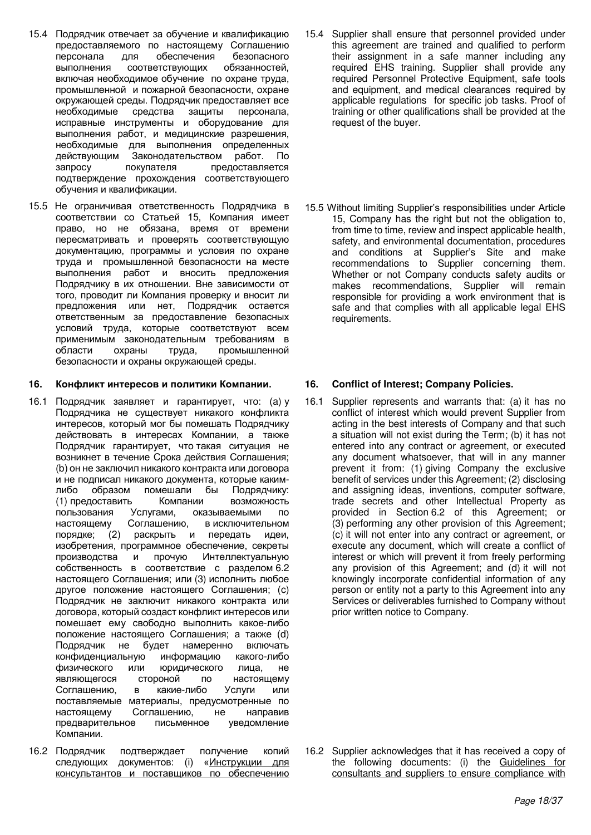- 15.4 Подрядчик отвечает за обучение и квалификацию предоставляемого по настоящему Соглашению<br>персонала для обеспечения безопасного обеспечения выполнения соответствующих обязанностей, включая необходимое обучение по охране труда, промышленной и пожарной безопасности, охране окружающей среды. Подрядчик предоставляет все необходимые средства защиты персонала, исправные инструменты и оборудование для выполнения работ, и медицинские разрешения, необходимые для выполнения определенных<br>действующим Законолательством работ По действующим Законодательством работ.<br>запросу покупателя предоставля запросу покупателя предоставляется подтверждение прохождения соответствующего обучения и квалификации.
- 15.5 Не ограничивая ответственность Подрядчика в соответствии со Статьей 15, Компания имеет право, но не обязана, время от времени пересматривать и проверять соответствующую документацию, программы и условия по охране труда и промышленной безопасности на месте выполнения работ и вносить предложения Подрядчику в их отношении. Вне зависимости от того, проводит ли Компания проверку и вносит ли предложения или нет, Подрядчик остается ответственным за предоставление безопасных условий труда, которые соответствуют всем применимым законодательным требованиям в области охраны труда, промышленной безопасности и охраны окружающей среды.

### 16. Конфликт интересов и политики Компании. **16. Conflict of Interest; Company Policies.**

- 16.1 Подрядчик заявляет и гарантирует, что: (а) у Подрядчика не существует никакого конфликта интересов, который мог бы помешать Подрядчику действовать в интересах Компании, а также Подрядчик гарантирует, что такая ситуация не возникнет в течение Срока действия Соглашения; (b) он не заключил никакого контракта или договора и не подписал никакого документа, которые какимлибо образом помешали бы Подрядчику: (1) предоставить Компании возможность<br>пользования Услугами, оказываемыми по оказываемыми по настоящему Соглашению, в исключительном порядке; (2) раскрыть и передать идеи, изобретения, программное обеспечение, секреты производства и прочую Интеллектуальную собственность в соответствие с разделом 6.2 настоящего Соглашения; или (3) исполнить любое другое положение настоящего Соглашения; (с) Подрядчик не заключит никакого контракта или договора, который создаст конфликт интересов или помешает ему свободно выполнить какое-либо положение настоящего Соглашения; а также (d) Подрядчик не будет намеренно включать конфиденциальную информацию какого-либо физического или юридического лица, не являющегося стороной по настоящему Соглашению, в какие-либо Услуги или поставляемые материалы, предусмотренные по настоящему Соглашению, не направив предварительное письменное уведомление Компании.
- 16.2 Подрядчик подтверждает получение копий следующих документов: (i) «Инструкции для консультантов и поставщиков по обеспечению
- 15.4 Supplier shall ensure that personnel provided under this agreement are trained and qualified to perform their assignment in a safe manner including any required EHS training. Supplier shall provide any required Personnel Protective Equipment, safe tools and equipment, and medical clearances required by applicable regulations for specific job tasks. Proof of training or other qualifications shall be provided at the request of the buyer.
- 15.5 Without limiting Supplier's responsibilities under Article 15, Company has the right but not the obligation to, from time to time, review and inspect applicable health, safety, and environmental documentation, procedures and conditions at Supplier's Site and make recommendations to Supplier concerning them. Whether or not Company conducts safety audits or makes recommendations, Supplier will remain responsible for providing a work environment that is safe and that complies with all applicable legal EHS requirements.

16.1 Supplier represents and warrants that: (a) it has no conflict of interest which would prevent Supplier from acting in the best interests of Company and that such a situation will not exist during the Term; (b) it has not entered into any contract or agreement, or executed any document whatsoever, that will in any manner prevent it from: (1) giving Company the exclusive benefit of services under this Agreement; (2) disclosing and assigning ideas, inventions, computer software, trade secrets and other Intellectual Property as provided in Section 6.2 of this Agreement; or (3) performing any other provision of this Agreement; (c) it will not enter into any contract or agreement, or execute any document, which will create a conflict of interest or which will prevent it from freely performing any provision of this Agreement; and (d) it will not knowingly incorporate confidential information of any person or entity not a party to this Agreement into any Services or deliverables furnished to Company without prior written notice to Company.

16.2 Supplier acknowledges that it has received a copy of the following documents: (i) the Guidelines for consultants and suppliers to ensure compliance with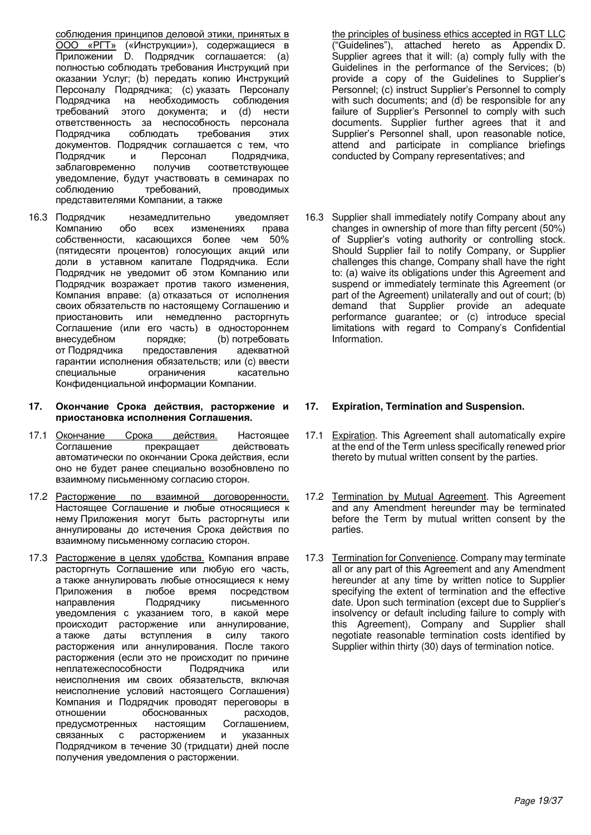<u>соблюдения принципов деловой этики, принятых в</u> ООО «РГТ» («Инструкции»), содержащиеся в Приложении D. Подрядчик соглашается: (а) полностью соблюдать требования Инструкций при оказании Услуг; (b) передать копию Инструкций Персоналу Подрядчика; (с) указать Персоналу Подрядчика на необходимость соблюдения требований этого документа; и (d) нести ответственность за неспособность персонала Подрядчика соблюдать требования этих документов. Подрядчик соглашается с тем, что<br>Подрядчик и и Персонал Водрядчика. Подрядчик и Персонал Подрядчика,<br>заблаговременно получив соответствующее получив соответствующее уведомление, будут участвовать в семинарах по<br>соблюдению требований, проводимых проводимых представителями Компании, а также

- 16.3 Подрядчик незамедлительно уведомляет Компанию обо всех изменениях права собственности, касающихся более чем 50% (пятидесяти процентов) голосующих акций или доли в уставном капитале Подрядчика. Если Подрядчик не уведомит об этом Компанию или Подрядчик возражает против такого изменения, Компания вправе: (а) отказаться от исполнения своих обязательств по настоящему Соглашению и приостановить или немедленно расторгнуть Соглашение (или его часть) в одностороннем внесудебном порядке; (b) потребовать от Подрядчика предоставления адекватной гарантии исполнения обязательств; или (с) ввести специальные ограничения касательно Конфиденциальной информации Компании.
- 17. Окончание Срока действия, расторжение и приостановка исполнения Соглашения.
- 17.1 Окончание Срока действия. Настоящее Соглашение прекращает действовать автоматически по окончании Срока действия, если оно не будет ранее специально возобновлено по взаимному письменному согласию сторон.
- 17.2 Расторжение по взаимной договоренности. Настоящее Соглашение и любые относящиеся к нему Приложения могут быть расторгнуты или аннулированы до истечения Срока действия по взаимному письменному согласию сторон.
- 17.3 Расторжение в целях удобства. Компания вправе расторгнуть Соглашение или любую его часть, а также аннулировать любые относящиеся к нему Приложения в любое время посредством направления Подрядчику письменного уведомления с указанием того, в какой мере происходит расторжение или аннулирование, а также даты вступления в силу такого расторжения или аннулирования. После такого ласторжения (если это не происходит по причине<br>неплатежеспособности Подрядчика или неплатежеспособности Подрядчика или неисполнения им своих обязательств, включая неисполнение условий настоящего Соглашения) Компания и Подрядчик проводят переговоры в отношении с обоснованных расходов. отношении обоснованных предусмотренных настоящим Соглашением, связанных с расторжением и указанных Подрядчиком в течение 30 (тридцати) дней после получения уведомления о расторжении.

the principles of business ethics accepted in RGT LLC ("Guidelines"), attached hereto as Appendix D. Supplier agrees that it will: (a) comply fully with the Guidelines in the performance of the Services; (b) provide a copy of the Guidelines to Supplier's Personnel; (c) instruct Supplier's Personnel to comply with such documents; and (d) be responsible for any failure of Supplier's Personnel to comply with such documents. Supplier further agrees that it and Supplier's Personnel shall, upon reasonable notice, attend and participate in compliance briefings conducted by Company representatives; and

16.3 Supplier shall immediately notify Company about any changes in ownership of more than fifty percent (50%) of Supplier's voting authority or controlling stock. Should Supplier fail to notify Company, or Supplier challenges this change, Company shall have the right to: (a) waive its obligations under this Agreement and suspend or immediately terminate this Agreement (or part of the Agreement) unilaterally and out of court; (b) demand that Supplier provide an adequate performance guarantee; or (c) introduce special limitations with regard to Company's Confidential Information.

## **17. Expiration, Termination and Suspension.**

- 17.1 Expiration. This Agreement shall automatically expire at the end of the Term unless specifically renewed prior thereto by mutual written consent by the parties.
- 17.2 Termination by Mutual Agreement. This Agreement and any Amendment hereunder may be terminated before the Term by mutual written consent by the parties.
- 17.3 Termination for Convenience. Company may terminate all or any part of this Agreement and any Amendment hereunder at any time by written notice to Supplier specifying the extent of termination and the effective date. Upon such termination (except due to Supplier's insolvency or default including failure to comply with this Agreement), Company and Supplier shall negotiate reasonable termination costs identified by Supplier within thirty (30) days of termination notice.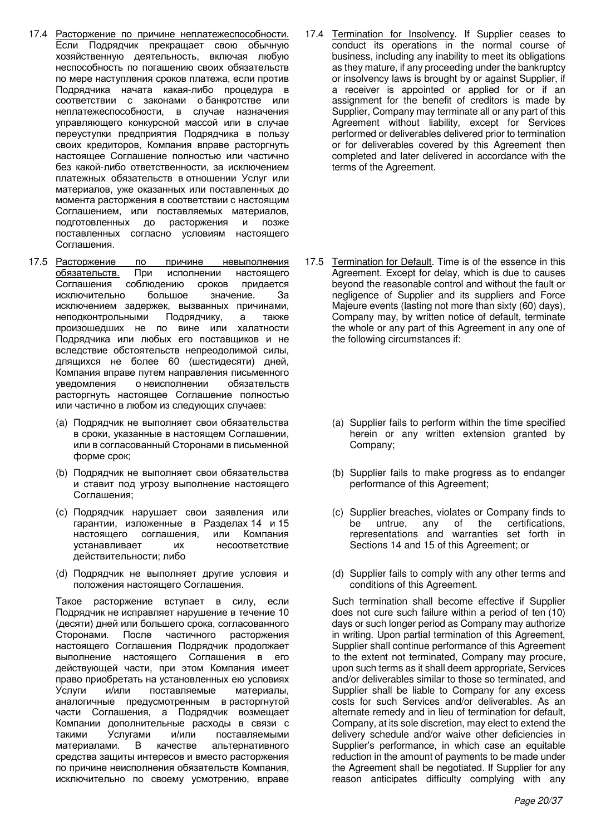- 17.4 Расторжение по причине неплатежеспособности. Если Подрядчик прекращает свою обычную хозяйственную деятельность, включая любую неспособность по погашению своих обязательств по мере наступления сроков платежа, если против Подрядчика начата какая-либо процедура в соответствии с законами обанкротстве или неплатежеспособности, в случае назначения управляющего конкурсной массой или в случае переуступки предприятия Подрядчика в пользу своих кредиторов, Компания вправе расторгнуть настояшее Соглашение полностью или частично без какой-либо ответственности, за исключением платежных обязательств в отношении Услуг или материалов, уже оказанных или поставленных до момента расторжения в соответствии с настоящим Соглашением, или поставляемых материалов, подготовленных до расторжения и позже поставленных согласно условиям настоящего Соглашения.
- 17.5 Расторжение по причине невыполнения обязательств. При исполнении настоящего Соглашения соблюдению сроков придается исключительно большое значение. За исключением задержек, вызванных причинами, неподконтрольными Подрядчику, а также произошедших не по вине или халатности Подрядчика или любых его поставщиков и не вследствие обстоятельств непреодолимой силы, длящихся не более 60 (шестидесяти) дней, Компания вправе путем направления письменного уведомления о неисполнении обязательств расторгнуть настоящее Соглашение полностью или частично в любом из следующих случаев:
	- (а) Подрядчик не выполняет свои обязательства в сроки, указанные в настоящем Соглашении, или в согласованный Сторонами в письменной форме срок;
	- (b) Подрядчик не выполняет свои обязательства и ставит под угрозу выполнение настоящего Соглашения;
	- (с) Подрядчик нарушает свои заявления или гарантии, изложенные в Разделах 14 и 15 настоящего соглашения, или Компания үстанавливает их несоответствие действительности; либо
	- (d) Подрядчик не выполняет другие условия и положения настоящего Соглашения.

Такое расторжение вступает в силу, если Подрядчик не исправляет нарушение в течение 10 (десяти) дней или большего срока, согласованного Сторонами. После частичного расторжения настоящего Соглашения Подрядчик продолжает выполнение настоящего Соглашения в его действующей части, при этом Компания имеет право приобретать на установленных ею условиях Услуги и/или поставляемые материалы, аналогичные предусмотренным в расторгнутой части Соглашения, а Подрядчик возмещает Компании дополнительные расходы в связи с такими Услугами и/или поставляемыми материалами. В качестве альтернативного средства защиты интересов и вместо расторжения по причине неисполнения обязательств Компания, исключительно по своему усмотрению, вправе

- 17.4 Termination for Insolvency. If Supplier ceases to conduct its operations in the normal course of business, including any inability to meet its obligations as they mature, if any proceeding under the bankruptcy or insolvency laws is brought by or against Supplier, if a receiver is appointed or applied for or if an assignment for the benefit of creditors is made by Supplier, Company may terminate all or any part of this Agreement without liability, except for Services performed or deliverables delivered prior to termination or for deliverables covered by this Agreement then completed and later delivered in accordance with the terms of the Agreement.
- 17.5 Termination for Default. Time is of the essence in this Agreement. Except for delay, which is due to causes beyond the reasonable control and without the fault or negligence of Supplier and its suppliers and Force Majeure events (lasting not more than sixty (60) days), Company may, by written notice of default, terminate the whole or any part of this Agreement in any one of the following circumstances if:
	- (a) Supplier fails to perform within the time specified herein or any written extension granted by Company;
	- (b) Supplier fails to make progress as to endanger performance of this Agreement;
	- (c) Supplier breaches, violates or Company finds to be untrue, any of the certifications, representations and warranties set forth in Sections 14 and 15 of this Agreement; or
	- (d) Supplier fails to comply with any other terms and conditions of this Agreement.

Such termination shall become effective if Supplier does not cure such failure within a period of ten (10) days or such longer period as Company may authorize in writing. Upon partial termination of this Agreement, Supplier shall continue performance of this Agreement to the extent not terminated, Company may procure, upon such terms as it shall deem appropriate, Services and/or deliverables similar to those so terminated, and Supplier shall be liable to Company for any excess costs for such Services and/or deliverables. As an alternate remedy and in lieu of termination for default, Company, at its sole discretion, may elect to extend the delivery schedule and/or waive other deficiencies in Supplier's performance, in which case an equitable reduction in the amount of payments to be made under the Agreement shall be negotiated. If Supplier for any reason anticipates difficulty complying with any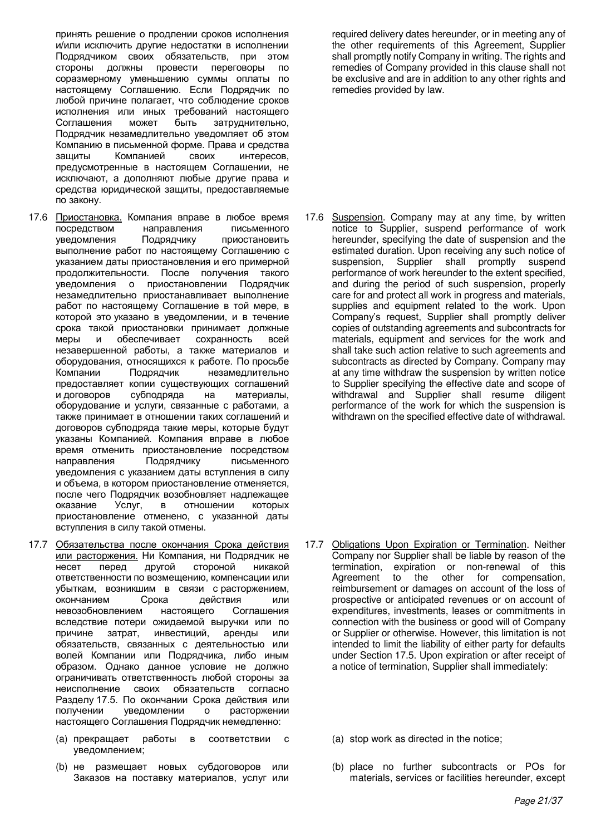принять решение о продлении сроков исполнения и/или исключить другие недостатки в исполнении Подрядчиком своих обязательств, при этом<br>стороны должны провести переговоры по должны провести переговоры по соразмерному уменьшению суммы оплаты по настоящему Соглашению. Если Подрядчик по любой причине полагает, что соблюдение сроков исполнения или иных требований настоящего Соглашения может быть затруднительно, Подрядчик незамедлительно уведомляет об этом Компанию в письменной форме. Права и средства<br>защиты и Компанией своих интересов. Компанией предусмотренные в настоящем Соглашении, не исключают, а дополняют любые другие права и средства юридической защиты, предоставляемые по закону.

- 17.6 Приостановка. Компания вправе в любое время посредством направления письменного уведомления Подрядчику приостановить выполнение работ по настоящему Соглашению с указанием даты приостановления и его примерной продолжительности. После получения такого уведомления о приостановлении Подрядчик незамедлительно приостанавливает выполнение работ по настоящему Соглашение в той мере, в которой это указано в уведомлении, и в течение срока такой приостановки принимает должные меры и обеспечивает сохранность всей незавершенной работы, а также материалов и оборудования, относящихся к работе. По просьбе<br>Компании и Подрядчик и незамедлительно Компании Подрядчик незамедлительно предоставляет копии существующих соглашений и договоров субподряда на материалы, оборудование и услуги, связанные с работами, а также принимает в отношении таких соглашений и договоров субподряда такие меры, которые будут указаны Компанией. Компания вправе в любое время отменить приостановление посредством направления Подрядчику письменного уведомления с указанием даты вступления в силу и объема, в котором приостановление отменяется, после чего Подрядчик возобновляет надлежащее оказание Услуг, в отношении которых приостановление отменено, с указанной даты вступления в силу такой отмены.
- 17.7 Обязательства после окончания Срока действия или расторжения. Ни Компания, ни Подрядчик не несет перед другой стороной никакой ответственности по возмещению, компенсации или убыткам, возникшим в связи с расторжением, окончанием Срока действия или невозобновлением настоящего Соглашения вследствие потери ожидаемой выручки или по причине затрат, инвестиций, аренды или обязательств, связанных с деятельностью или волей Компании или Подрядчика, либо иным образом. Однако данное условие не должно ограничивать ответственность любой стороны за неисполнение своих обязательств согласно Разделу 17.5. По окончании Срока действия или получении уведомлении о расторжении настоящего Соглашения Подрядчик немедленно:
	- (а) прекращает работы в соответствии с уведомлением;
	- (b) не размещает новых субдоговоров или Заказов на поставку материалов, услуг или

required delivery dates hereunder, or in meeting any of the other requirements of this Agreement, Supplier shall promptly notify Company in writing. The rights and remedies of Company provided in this clause shall not be exclusive and are in addition to any other rights and remedies provided by law.

17.6 Suspension. Company may at any time, by written notice to Supplier, suspend performance of work hereunder, specifying the date of suspension and the estimated duration. Upon receiving any such notice of suspension, Supplier shall promptly suspend suspension, Supplier shall promptly suspend performance of work hereunder to the extent specified, and during the period of such suspension, properly care for and protect all work in progress and materials, supplies and equipment related to the work. Upon Company's request, Supplier shall promptly deliver copies of outstanding agreements and subcontracts for materials, equipment and services for the work and shall take such action relative to such agreements and subcontracts as directed by Company. Company may at any time withdraw the suspension by written notice to Supplier specifying the effective date and scope of withdrawal and Supplier shall resume diligent performance of the work for which the suspension is withdrawn on the specified effective date of withdrawal.

- 17.7 Obligations Upon Expiration or Termination. Neither Company nor Supplier shall be liable by reason of the termination, expiration or non-renewal of this Agreement to the other for compensation, reimbursement or damages on account of the loss of prospective or anticipated revenues or on account of expenditures, investments, leases or commitments in connection with the business or good will of Company or Supplier or otherwise. However, this limitation is not intended to limit the liability of either party for defaults under Section 17.5. Upon expiration or after receipt of a notice of termination, Supplier shall immediately:
	- (a) stop work as directed in the notice;
	- (b) place no further subcontracts or POs for materials, services or facilities hereunder, except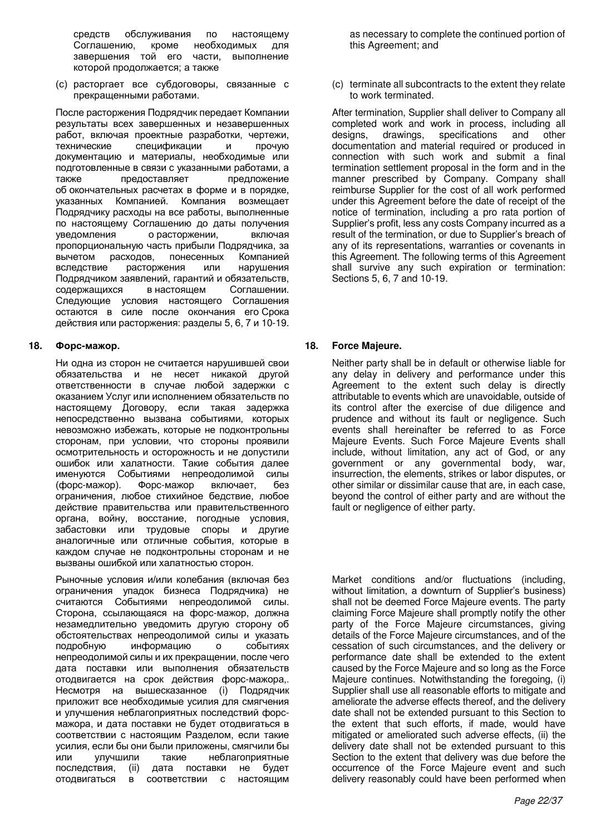средств обслуживания по настоящему<br>Соглашению. кроме необходимых для Соглашению, кроме необходимых для<br>завершения той его части, выполнение завершения той его части, которой продолжается; а также

(c) расторгает все субдоговоры, связанные с прекращенными работами.

После расторжения Подрядчик передает Компании результаты всех завершенных и незавершенных лабот, включая проектные разработки, чертежи, райот, в трочую, технические спецификации и спецификации и прочую документацию и материалы, необходимые или подготовленные в связи с указанными работами, а также предоставляет предложение об окончательных расчетах в форме и в порядке, указанных Компанией. Компания возмещает Подрядчику расходы на все работы, выполненные по настоящему Соглашению до даты получения уведомления о расторжении, включая пропорциональную часть прибыли Подрядчика, за вычетом расходов, понесенных Компанией<br>вследствие расторжения или нарушения расторжения или нарушения Подрядчиком заявлений, гарантий и обязательств, содержащихся в настоящем Соглашении. Следующие условия настоящего Соглашения остаются в силе после окончания его Срока действия или расторжения: разделы 5, 6, 7 и 10-19.

Ни одна из сторон не считается нарушившей свои обязательства и не несет никакой другой ответственности в случае любой задержки с оказанием Услуг или исполнением обязательств по настоящему Договору, если такая задержка непосредственно вызвана событиями, которых невозможно избежать, которые не подконтрольны сторонам, при условии, что стороны проявили осмотрительность и осторожность и не допустили ошибок или халатности. Такие события далее именуются Событиями непреодолимой силы (форс-мажор). Форс-мажор включает, без ограничения, любое стихийное бедствие, любое действие правительства или правительственного органа, войну, восстание, погодные условия, забастовки или трудовые споры и другие аналогичные или отличные события, которые в каждом случае не подконтрольны сторонам и не вызваны ошибкой или халатностью сторон.

Рыночные условия и/или колебания (включая без ограничения упадок бизнеса Подрядчика) не считаются Событиями непреодолимой силы. Сторона, ссылающаяся на форс-мажор, должна незамедлительно уведомить другую сторону об обстоятельствах непреодолимой силы и указать<br>подробную информацию о событиях информацию о событиях непреодолимой силы и их прекращении, после чего дата поставки или выполнения обязательств отодвигается на срок действия форс-мажора,. Несмотря на вышесказанное (i) Подрядчик приложит все необходимые усилия для смягчения и улучшения неблагоприятных последствий форсмажора, и дата поставки не будет отодвигаться в соответствии с настоящим Разделом, если такие үсилия, если бы они были приложены, смягчили бы или улучшили такие неблагоприятные последствия, (ii) дата поставки не будет отодвигаться в соответствии с настоящим

as necessary to complete the continued portion of this Agreement; and

(c) terminate all subcontracts to the extent they relate to work terminated.

After termination, Supplier shall deliver to Company all completed work and work in process, including all designs, drawings, specifications and other designs, drawings, specifications and other documentation and material required or produced in connection with such work and submit a final termination settlement proposal in the form and in the manner prescribed by Company. Company shall reimburse Supplier for the cost of all work performed under this Agreement before the date of receipt of the notice of termination, including a pro rata portion of Supplier's profit, less any costs Company incurred as a result of the termination, or due to Supplier's breach of any of its representations, warranties or covenants in this Agreement. The following terms of this Agreement shall survive any such expiration or termination: Sections 5, 6, 7 and 10-19.

## **18.**  $\Phi$ **opc-maxop. 18.** Force Majeure.

Neither party shall be in default or otherwise liable for any delay in delivery and performance under this Agreement to the extent such delay is directly attributable to events which are unavoidable, outside of its control after the exercise of due diligence and prudence and without its fault or negligence. Such events shall hereinafter be referred to as Force Majeure Events. Such Force Majeure Events shall include, without limitation, any act of God, or any government or any governmental body, war, insurrection, the elements, strikes or labor disputes, or other similar or dissimilar cause that are, in each case, beyond the control of either party and are without the fault or negligence of either party.

Market conditions and/or fluctuations (including, without limitation, a downturn of Supplier's business) shall not be deemed Force Majeure events. The party claiming Force Majeure shall promptly notify the other party of the Force Majeure circumstances, giving details of the Force Majeure circumstances, and of the cessation of such circumstances, and the delivery or performance date shall be extended to the extent caused by the Force Majeure and so long as the Force Majeure continues. Notwithstanding the foregoing, (i) Supplier shall use all reasonable efforts to mitigate and ameliorate the adverse effects thereof, and the delivery date shall not be extended pursuant to this Section to the extent that such efforts, if made, would have mitigated or ameliorated such adverse effects, (ii) the delivery date shall not be extended pursuant to this Section to the extent that delivery was due before the occurrence of the Force Majeure event and such delivery reasonably could have been performed when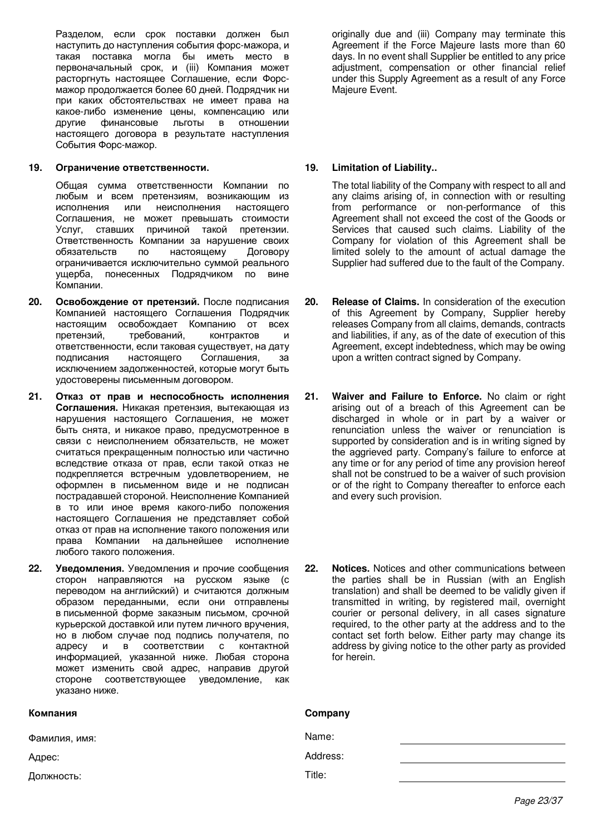Разделом, если срок поставки должен был наступить до наступления события форс-мажора, и такая поставка могла бы иметь место в первоначальный срок, и (iii) Компания может расторгнуть настоящее Соглашение, если Форсмажор продолжается более 60 дней. Подрядчик ни при каких обстоятельствах не имеет права на какое-либо изменение цены, компенсацию или<br>другие финансовые льготы в отношении финансовые льготы в отношении настоящего договора в результате наступления События Форс-мажор.

### **19. Ограничение ответственности. 19. Limitation of Liability..**

Общая сумма ответственности Компании по любым и всем претензиям, возникающим из<br>исполнения или неисполнения настоящего или неисполнения настоящего Соглашения, не может превышать стоимости Услуг, ставших причиной такой претензии. Ответственность Компании за нарушение своих обязательств по настоящему Договору ограничивается исключительно суммой реального ущерба, понесенных Подрядчиком по вине Компании.

- 20. Освобождение от претензий. После подписания Компанией настоящего Соглашения Подрядчик настоящим освобождает Компанию от всех претензий, требований, контрактов и ответственности, если таковая существует, на дату подписания настоящего Соглашения, за исключением задолженностей, которые могут быть удостоверены письменным договором.
- 21. Отказ от прав и неспособность исполнения Соглашения. Никакая претензия, вытекающая из нарушения настоящего Соглашения, не может быть снята, и никакое право, предусмотренное в связи с неисполнением обязательств, не может считаться прекращенным полностью или частично вследствие отказа от прав, если такой отказ не подкрепляется встречным удовлетворением, не оформлен в письменном виде и не подписан пострадавшей стороной. Неисполнение Компанией в то или иное время какого-либо положения настоящего Соглашения не представляет собой отказ от прав на исполнение такого положения или права Компании на дальнейшее исполнение любого такого положения.
- 22. Уведомления. Уведомления и прочие сообщения сторон направляются на русском языке (с переводом на английский) и считаются должным образом переданными, если они отправлены в письменной форме заказным письмом, срочной курьерской доставкой или путем личного вручения, но в любом случае под подпись получателя, по адресу и в соответствии с контактной информацией, указанной ниже. Любая сторона может изменить свой адрес, направив другой стороне соответствующее уведомление, как указано ниже.

| Компания      | Company  |
|---------------|----------|
| Фамилия, имя: | Name:    |
| Адрес:        | Address: |
| Должность:    | Title:   |

originally due and (iii) Company may terminate this Agreement if the Force Majeure lasts more than 60 days. In no event shall Supplier be entitled to any price adjustment, compensation or other financial relief under this Supply Agreement as a result of any Force Majeure Event.

The total liability of the Company with respect to all and any claims arising of, in connection with or resulting from performance or non-performance of this Agreement shall not exceed the cost of the Goods or Services that caused such claims. Liability of the Company for violation of this Agreement shall be limited solely to the amount of actual damage the Supplier had suffered due to the fault of the Company.

- **20. Release of Claims.** In consideration of the execution of this Agreement by Company, Supplier hereby releases Company from all claims, demands, contracts and liabilities, if any, as of the date of execution of this Agreement, except indebtedness, which may be owing upon a written contract signed by Company.
- **21. Waiver and Failure to Enforce.** No claim or right arising out of a breach of this Agreement can be discharged in whole or in part by a waiver or renunciation unless the waiver or renunciation is supported by consideration and is in writing signed by the aggrieved party. Company's failure to enforce at any time or for any period of time any provision hereof shall not be construed to be a waiver of such provision or of the right to Company thereafter to enforce each and every such provision.
- **22. Notices.** Notices and other communications between the parties shall be in Russian (with an English translation) and shall be deemed to be validly given if transmitted in writing, by registered mail, overnight courier or personal delivery, in all cases signature required, to the other party at the address and to the contact set forth below. Either party may change its address by giving notice to the other party as provided for herein.

# *Page 23/37*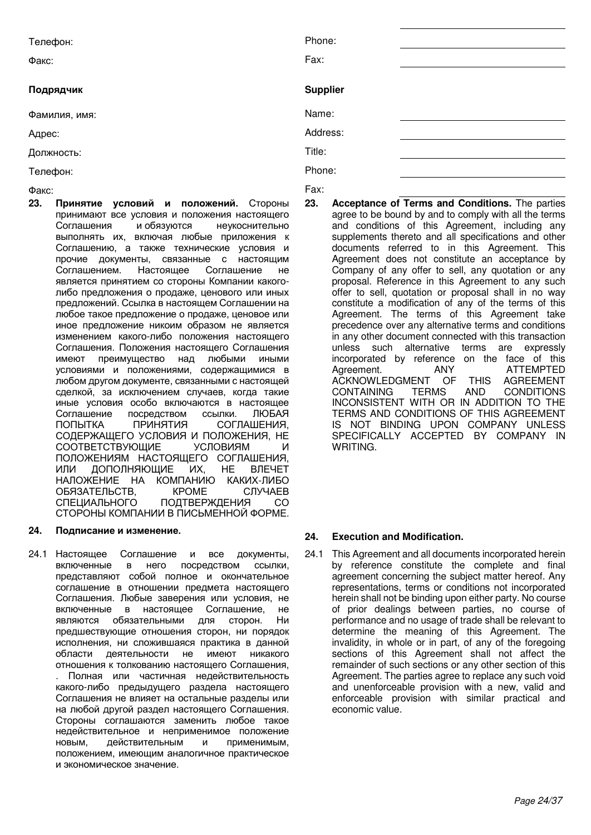## Подрядчик

Ɏɚɤɫ: Fax:

**23. Принятие условий и положений.** Стороны принимают все условия и положения настоящего<br>Соглашения и обязуются инеукоснительно Соглашения и обязуются неукоснительно выполнять их, включая любые приложения к Соглашению, а также технические условия и прочие документы, связанные с настоящим<br>Соглашением. Настоящее Соглашение не Соглашением. Настояшее Соглашение не является принятием со стороны Компании какоголибо предложения о продаже, ценового или иных предложений. Ссылка в настоящем Соглашении на любое такое предложение о продаже, ценовое или иное предложение никоим образом не является изменением какого-либо положения настоящего Соглашения. Положения настоящего Соглашения имеют преимущество над любыми иными условиями и положениями, содержащимися в любом другом документе, связанными с настоящей сделкой, за исключением случаев, когда такие иные условия особо включаются в настоящее Соглашение посредством ссылки. ЛЮБАЯ<br>ПОПЫТКА ПРИНЯТИЯ СОГЛАШЕНИЯ. ПОПЫТКА ПРИНЯТИЯ СОГЛАШЕНИЯ, СОДЕРЖАЩЕГО УСЛОВИЯ И ПОЛОЖЕНИЯ, НЕ<br>СООТВЕТСТВУЮЩИЕ УСЛОВИЯМ И СООТВЕТСТВУЮЩИЕ УСЛОВИЯМ И ПОЛОЖЕНИЯМ НАСТОЯЩЕГО СОГЛАШЕНИЯ, ИЛИ ДОПОЛНЯЮЩИЕ ИХ, НЕ ВЛЕЧЕТ НАЛОЖЕНИЕ НА КОМПАНИЮ КАКИХ-ЛИБО<br>ОБЯЗАТЕЛЬСТВ, КРОМЕ СЛУЧАЕВ ОБЯЗАТЕЛЬСТВ, КРОМЕ СПЕЦИАЛЬНОГО ПОДТВЕРЖДЕНИЯ СО СТОРОНЫ КОМПАНИИ В ПИСЬМЕННОЙ ФОРМЕ.

24.1 Настоящее Соглашение и все документы, включенные в него посредством ссылки, представляют собой полное и окончательное соглашение в отношении предмета настоящего Соглашения. Любые заверения или условия, не включенные в настоящее Соглашение, не являются обязательными для сторон. Ни предшествующие отношения сторон, ни порядок исполнения, ни сложившаяся практика в данной области деятельности не имеют никакого отношения к толкованию настоящего Соглашения, Полная или частичная недействительность какого-либо предыдущего раздела настоящего Соглашения не влияет на остальные разделы или на любой другой раздел настоящего Соглашения. Стороны соглашаются заменить любое такое недействительное и неприменимое положение НОВЫМ, ДЕЙСТВИТЕЛЬНЫМ И ПРИМЕНИМЫМ, положением, имеющим аналогичное практическое и экономическое значение.

| Телефон:<br>Факс: | Phone:<br>Fax:  |
|-------------------|-----------------|
| Подрядчик         | <b>Supplier</b> |
| Фамилия, имя:     | Name:           |
| Адрес:            | Address:        |
| Должность:        | Title:          |
| Телефон:          | Phone:          |
|                   | $\sim$          |

**23. Acceptance of Terms and Conditions.** The parties agree to be bound by and to comply with all the terms and conditions of this Agreement, including any supplements thereto and all specifications and other documents referred to in this Agreement. This Agreement does not constitute an acceptance by Company of any offer to sell, any quotation or any proposal. Reference in this Agreement to any such offer to sell, quotation or proposal shall in no way constitute a modification of any of the terms of this Agreement. The terms of this Agreement take precedence over any alternative terms and conditions in any other document connected with this transaction unless such alternative terms are expressly incorporated by reference on the face of this Agreement. ANY ATTEMPTED ACKNOWLEDGMENT OF THIS AGREEMENT CONTAINING TERMS AND CONDITIONS INCONSISTENT WITH OR IN ADDITION TO THE TERMS AND CONDITIONS OF THIS AGREEMENT IS NOT BINDING UPON COMPANY UNLESS SPECIFICALLY ACCEPTED BY COMPANY IN WRITING.

# **24.** Подписание и изменение. **использования и совможно и стала 24.** Execution and Modification.

24.1 This Agreement and all documents incorporated herein by reference constitute the complete and final agreement concerning the subject matter hereof. Any representations, terms or conditions not incorporated herein shall not be binding upon either party. No course of prior dealings between parties, no course of performance and no usage of trade shall be relevant to determine the meaning of this Agreement. The invalidity, in whole or in part, of any of the foregoing sections of this Agreement shall not affect the remainder of such sections or any other section of this Agreement. The parties agree to replace any such void and unenforceable provision with a new, valid and enforceable provision with similar practical and economic value.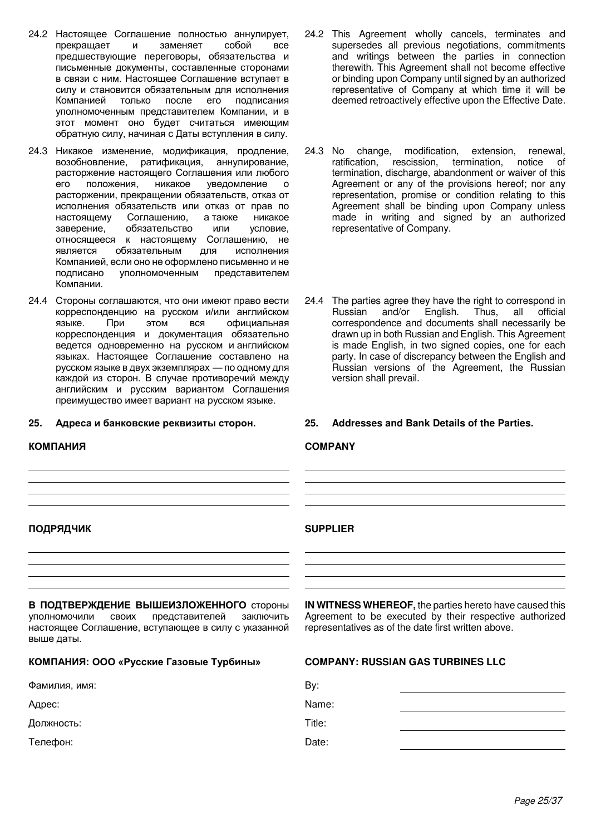- 24.2 Настоящее Соглашение полностью аннулирует,<br>прекрашает и заменяет собой все прекрашает и заменяет предшествующие переговоры, обязательства и письменные документы, составленные сторонами в связи с ним. Настоящее Соглашение вступает в силу и становится обязательным для исполнения Компанией только после его подписания уполномоченным представителем Компании, и в этот момент оно будет считаться имеющим обратную силу, начиная с Даты вступления в силу.
- 24.3 Никакое изменение, модификация, продление, возобновление, ратификация, аннулирование, расторжение настоящего Соглашения или любого его положения, никакое уведомление о расторжении, прекращении обязательств, отказ от исполнения обязательств или отказ от прав по настоящему Соглашению, а также никакое<br>заверение, обязательство или условие, заверение, обязательство или относящееся к настоящему Соглашению, не является обязательным для исполнения Компанией, если оно не оформлено письменно и не подписано уполномоченным представителем Компании.
- 24.4 Стороны соглашаются, что они имеют право вести корреспонденцию на русском и/или английском языке. При этом вся официальная корреспонденция и документация обязательно ведется одновременно на русском и английском языках. Настоящее Соглашение составлено на русском языке в двух экземплярах - по одному для каждой из сторон. В случае противоречий между английским и русским вариантом Соглашения преимущество имеет вариант на русском языке.

## **25.** Адреса и банковские реквизиты сторон. 25. Addresses and Bank Details of the Parties.

### **ɄɈɆɉȺɇɂə COMPANY**

**В ПОДТВЕРЖДЕНИЕ ВЫШЕИЗЛОЖЕННОГО** СТОРОНЫ үполномочили своих представителей заключить настоящее Соглашение, вступающее в силу с указанной выше даты.

### **ɄɈɆɉȺɇɂə: ɈɈɈ «Ɋɭɫɫɤɢɟ Ƚɚɡɨɜɵɟ Ɍɭɪɛɢɧɵ» COMPANY: RUSSIAN GAS TURBINES LLC**

| Фамилия, имя: | Bv: |
|---------------|-----|
|---------------|-----|

Agpec: and the contract of the contract of the contract of the Name:

Должность: Title:

Tелефон: Date:

- 24.2 This Agreement wholly cancels, terminates and supersedes all previous negotiations, commitments and writings between the parties in connection therewith. This Agreement shall not become effective or binding upon Company until signed by an authorized representative of Company at which time it will be deemed retroactively effective upon the Effective Date.
- 24.3 No change, modification, extension, renewal, ratification, rescission, termination, notice of termination, discharge, abandonment or waiver of this Agreement or any of the provisions hereof; nor any representation, promise or condition relating to this Agreement shall be binding upon Company unless made in writing and signed by an authorized representative of Company.
- 24.4 The parties agree they have the right to correspond in<br>Russian and/or English. Thus. all official English. Thus, all official correspondence and documents shall necessarily be drawn up in both Russian and English. This Agreement is made English, in two signed copies, one for each party. In case of discrepancy between the English and Russian versions of the Agreement, the Russian version shall prevail.

### **ɉɈȾɊəȾɑɂɄ SUPPLIER**

**IN WITNESS WHEREOF,** the parties hereto have caused this Agreement to be executed by their respective authorized representatives as of the date first written above.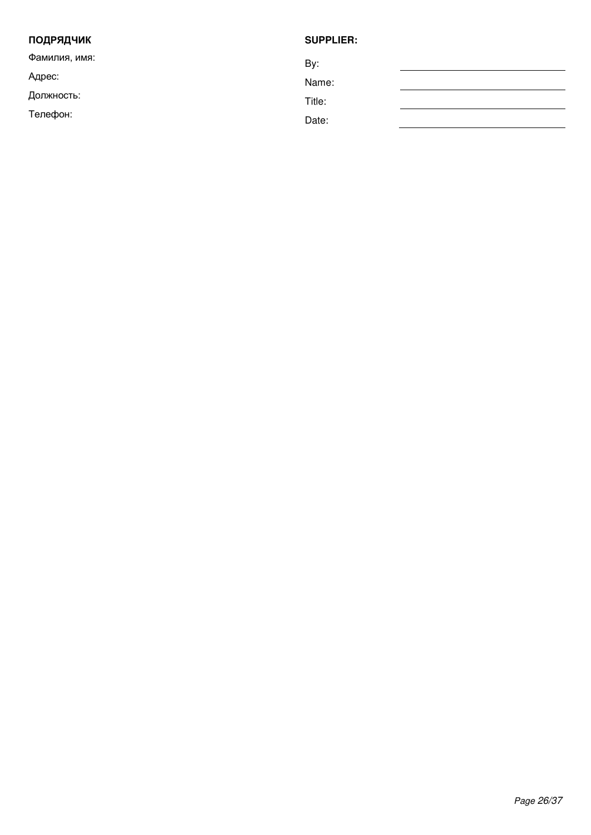| <b>ПОДРЯДЧИК</b> | <b>SUPPLIER:</b> |
|------------------|------------------|
| Фамилия, имя:    | By:              |
| Адрес:           | Name:            |
| Должность:       | Title:           |
| Телефон:         | Date:            |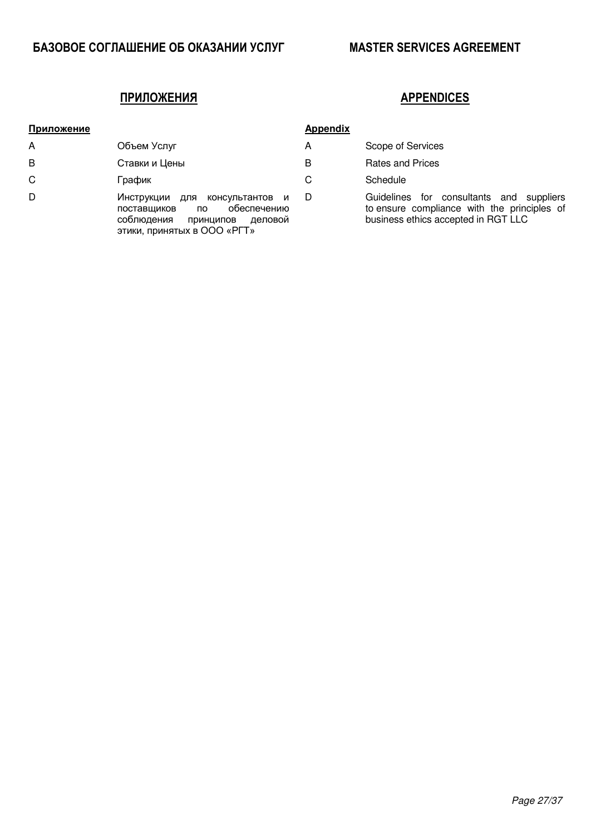## **ɊɋɃɆɉɁɀɈɃЯ APPENDICES**

| Приложение |                                                                                                                                             | <b>Appendix</b> |                                     |
|------------|---------------------------------------------------------------------------------------------------------------------------------------------|-----------------|-------------------------------------|
| A          | Объем Услуг                                                                                                                                 | A               | Scope of 9                          |
| B          | Ставки и Цены                                                                                                                               | в               | Rates and                           |
| C          | График                                                                                                                                      | C               | Schedule                            |
| D          | Инструкции для консультантов и<br>обеспечению<br>поставщиков<br><b>no</b><br>соблюдения принципов<br>деловой<br>этики, принятых в ООО «РГТ» | D               | Guidelines<br>to ensure<br>business |

|  | ppendix |  |
|--|---------|--|
|  |         |  |

- Scope of Services
- Rates and Prices
- 

D Guidelines for consultants and suppliers to ensure compliance with the principles of business ethics accepted in RGT LLC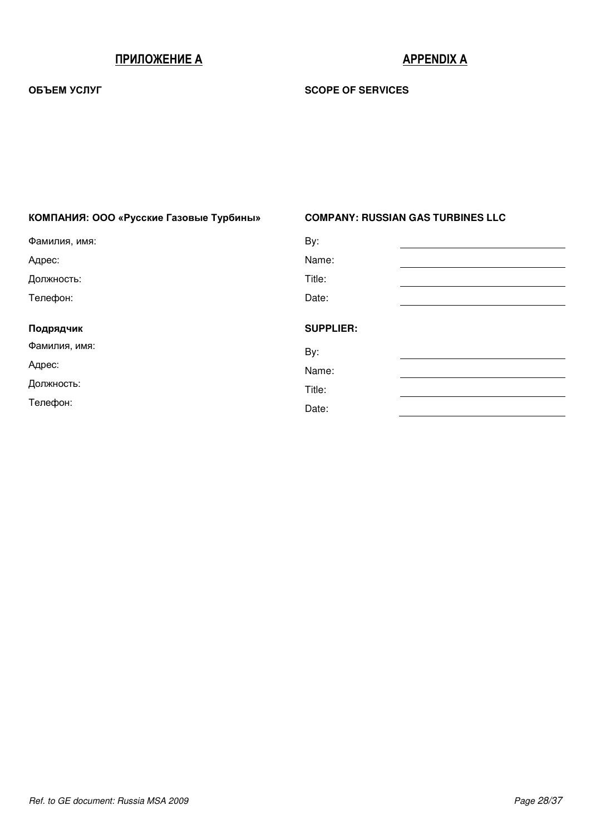# **ɊɋɃɆɉɁɀɈɃɀ Ȼ APPENDIX A**

## **OБЪЕМ УСЛУГ В ВИЗУ В ВИЗУ В ВИЗУ В ВИЗУ В ВИЗУ В ВИЗУ В ВИЗУ В ВИЗУ В ВИЗУ В ВИЗУ В ВИЗУ В ВИЗУ В ВИЗУ В ВИЗУ**

| КОМПАНИЯ: ООО «Русские Газовые Турбины» | <b>COMPANY: RUSSIAN GAS TURBINES LLC</b> |
|-----------------------------------------|------------------------------------------|
| Фамилия, имя:                           | By:                                      |
| Адрес:                                  | Name:                                    |
| Должность:                              | Title:                                   |
| Телефон:                                | Date:                                    |
| Подрядчик                               | <b>SUPPLIER:</b>                         |
| Фамилия, имя:                           | By:                                      |
| Адрес:                                  | Name:                                    |
|                                         |                                          |
| Должность:                              | Title:                                   |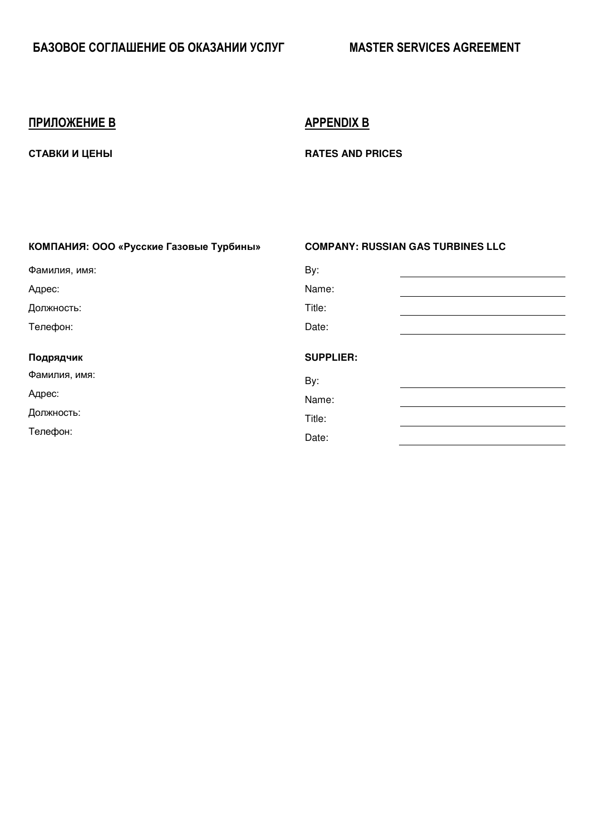# **ɊɋɃɆɉɁɀɈɃɀ B APPENDIX B**

**CTABKU U LIEHBI CTABKU U LIEHBI RATES AND PRICES** 

# КОМПАНИЯ: ООО «Русские Газовые Турбины» СОМРАНУ: RUSSIAN GAS TURBINES LLC Фамилия, имя: Ву: Вашилия, имя: Ву: Вашилия, имя: Ву: Вашилия, имя: Ву: Вашилия, имя: Ву: Вашилия, имя: В Agpec: and the contract of the contract of the contract of the Name: Должность: Title: Tелефон: Date: Подрядчик **Видительство ВИРИЕРИЕР:** В ВИРИЕР В ВИРИЕРИЕР: Фамилия, имя: Ву: Вашилия, со не на высокой в детей в детей в детей в детей в воспоком в детей в детей в детей Адрес: Материалы (Синтентитут) и соответствующего и соответствующего и соответствующего и соответствующего и с Должность: Title: Телефон: Видимир и Саветский и Саветский профессионально при составление от развития от развития Date: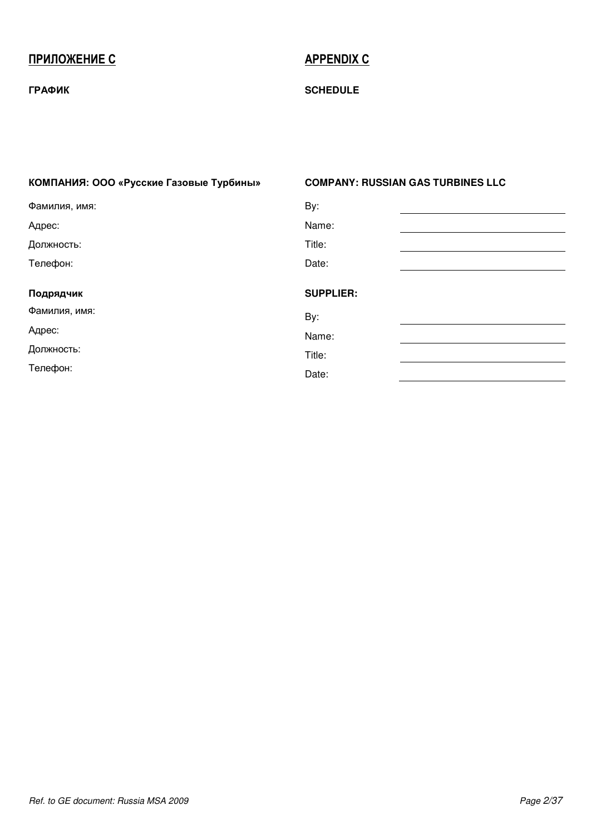# **ɊɋɃɆɉɁɀɈɃɀ C APPENDIX C**

## ГРАФИК SCHEDULE

| КОМПАНИЯ: ООО «Русские Газовые Турбины» | <b>COMPANY: RUSSIAN GAS TURBINES LLC</b> |
|-----------------------------------------|------------------------------------------|
| Фамилия, имя:                           | By:                                      |
| Адрес:                                  | Name:                                    |
| Должность:                              | Title:                                   |
| Телефон:                                | Date:                                    |
| Подрядчик                               | <b>SUPPLIER:</b>                         |
| Фамилия, имя:                           | By:                                      |
| Адрес:                                  | Name:                                    |
| Должность:                              | Title:                                   |
| Телефон:                                | Date:                                    |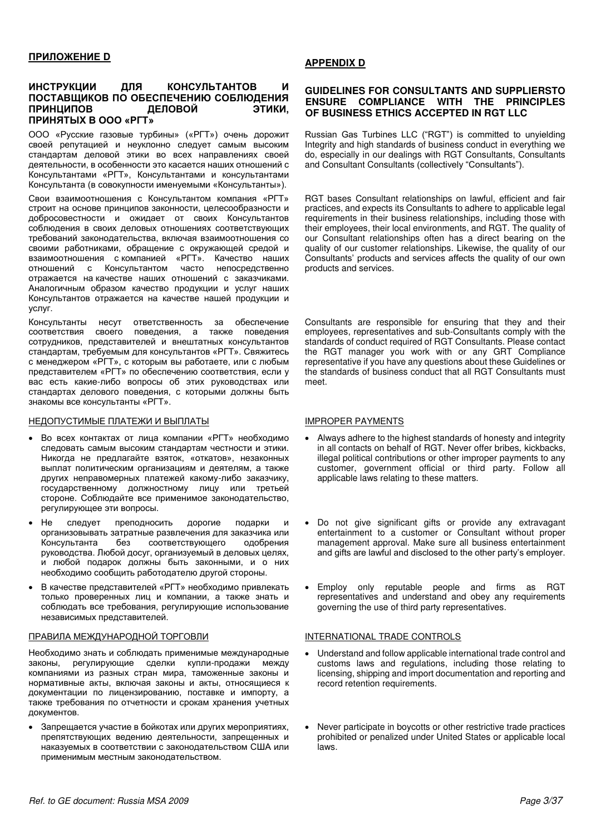### ИНСТРУКЦИИ ДЛЯ КОНСУЛЬТАНТОВ И ПОСТАВЩИКОВ ПО ОБЕСПЕЧЕНИЮ СОБЛЮДЕНИЯ<br>ПРИНЦИПОВ ДЕЛОВОЙ ЭТИКИ. ПРИНЦИПОВ ПРИНЯТЫХ В ООО «РГТ»

ООО «Русские газовые турбины» («РГТ») очень дорожит своей репутацией и неуклонно следует самым высоким стандартам деловой этики во всех направлениях своей деятельности, в особенности это касается наших отношений с Консультантами «РГТ», Консультантами и консультантами Консультанта (в совокупности именуемыми «Консультанты»).

Свои взаимоотношения с Консультантом компания «РГТ» строит на основе принципов законности, целесообразности и добросовестности и ожидает от своих Консультантов соблюдения в своих деловых отношениях соответствующих требований законодательства, включая взаимоотношения со своими работниками, обращение с окружающей средой и ɜɡɚɢɦɨɨɬɧɨɲɟɧɢɹ ɫ ɤɨɦɩɚɧɢɟɣ «ɊȽɌ». Ʉɚɱɟɫɬɜɨ ɧɚɲɢɯ отношений с Консультантом часто непосредственно отражается на качестве наших отношений с заказчиками. Аналогичным образом качество продукции и услуг наших Консультантов отражается на качестве нашей продукции и услуг.

Консультанты несут ответственность за обеспечение соответствия своего поведения, а также поведения сотрудников, представителей и внештатных консультантов стандартам, требуемым для консультантов «РГТ». Свяжитесь с менеджером «РГТ», с которым вы работаете, или с любым представителем «РГТ» по обеспечению соответствия, если у вас есть какие-либо вопросы об этих руководствах или стандартах делового поведения, с которыми должны быть знакомы все консультанты «РГТ».

### HEAON CTUMBLE NATE WAS ARRIVED TO THE MATHEMATIC MELTIC THE MATTER OF THE MATTER OF THE MATTER OF THE MATTER OF THE MATTER OF THE MATTER OF THE MATTER OF THE MATTER OF THE MATTER OF THE MATTER OF THE MATTER OF THE MATTER O

- Во всех контактах от лица компании «РГТ» необходимо следовать самым высоким стандартам честности и этики. Никогда не предлагайте взяток, «откатов», незаконных выплат политическим организациям и деятелям, а также других неправомерных платежей какому-либо заказчику, государственному должностному лицу или третьей стороне. Соблюдайте все применимое законодательство, регулирующее эти вопросы.
- Не следует преподносить дорогие подарки и организовывать затратные развлечения для заказчика или Консультанта без соответствующего одобрения руководства. Любой досуг, организуемый в деловых целях, и любой подарок должны быть законными, и о них необходимо сообщить работодателю другой стороны.
- В качестве представителей «РГТ» необходимо привлекать только проверенных лиц и компании, а также знать и соблюдать все требования, регулирующие использование независимых представителей.

### ПРАВИЛА МЕЖДУНАРОДНОЙ ТОРГОВЛИ **ВИЗИЛЬ В ПОЛЬСКО** INTERNATIONAL TRADE CONTROLS

Необходимо знать и соблюдать применимые международные законы, регулирующие сделки купли-продажи между компаниями из разных стран мира, таможенные законы и нормативные акты, включая законы и акты, относящиеся к документации по лицензированию, поставке и импорту, а также требования по отчетности и срокам хранения учетных документов.

Запрещается участие в бойкотах или других мероприятиях, препятствующих ведению деятельности, запрещенных и наказуемых в соответствии с законодательством США или применимым местным законодательством.

### **APPENDIX D**

### **GUIDELINES FOR CONSULTANTS AND SUPPLIERSTO ENSURE COMPLIANCE WITH THE PRINCIPLES OF BUSINESS ETHICS ACCEPTED IN RGT LLC**

Russian Gas Turbines LLC ("RGT") is committed to unyielding Integrity and high standards of business conduct in everything we do, especially in our dealings with RGT Consultants, Consultants and Consultant Consultants (collectively "Consultants").

RGT bases Consultant relationships on lawful, efficient and fair practices, and expects its Consultants to adhere to applicable legal requirements in their business relationships, including those with their employees, their local environments, and RGT. The quality of our Consultant relationships often has a direct bearing on the quality of our customer relationships. Likewise, the quality of our Consultants' products and services affects the quality of our own products and services.

Consultants are responsible for ensuring that they and their employees, representatives and sub-Consultants comply with the standards of conduct required of RGT Consultants. Please contact the RGT manager you work with or any GRT Compliance representative if you have any questions about these Guidelines or the standards of business conduct that all RGT Consultants must meet.

- Always adhere to the highest standards of honesty and integrity in all contacts on behalf of RGT. Never offer bribes, kickbacks, illegal political contributions or other improper payments to any customer, government official or third party. Follow all applicable laws relating to these matters.
- Do not give significant gifts or provide any extravagant entertainment to a customer or Consultant without proper management approval. Make sure all business entertainment and gifts are lawful and disclosed to the other party's employer.
- Employ only reputable people and firms as RGT representatives and understand and obey any requirements governing the use of third party representatives.

- Understand and follow applicable international trade control and customs laws and regulations, including those relating to licensing, shipping and import documentation and reporting and record retention requirements.
- Never participate in boycotts or other restrictive trade practices prohibited or penalized under United States or applicable local laws.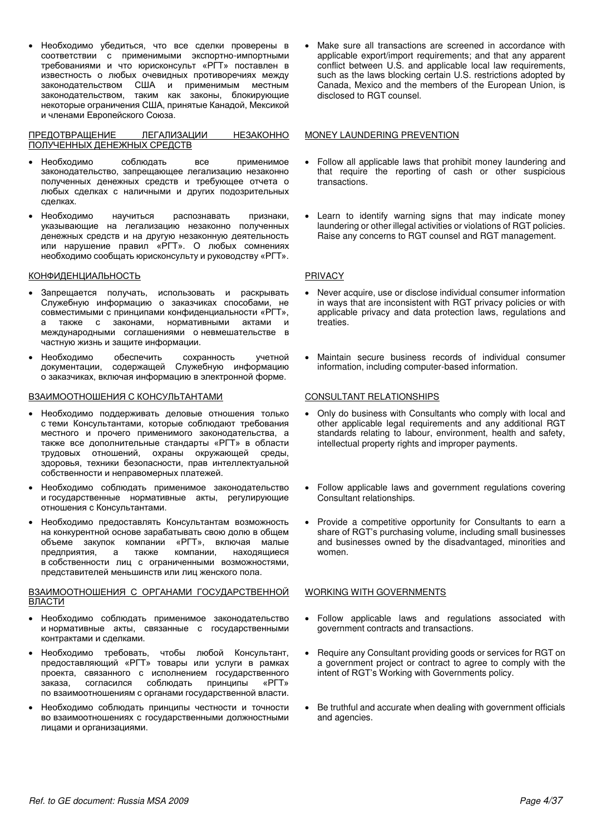Необходимо убедиться, что все сделки проверены в соответствии с применимыми экспортно-импортными требованиями и что юрисконсульт «РГТ» поставлен в известность о любых очевидных противоречиях между законодательством США и применимым местным законодательством, таким как законы, блокирующие некоторые ограничения США, принятые Канадой, Мексикой и членами Европейского Союза.

ПРЕДОТВРАЩЕНИЕ ЛЕГАЛИЗАЦИИ НЕЗАКОННО ПОЛУЧЕННЫХ ДЕНЕЖНЫХ СРЕДСТВ

- Необходимо соблюдать все применимое законодательство, запрещающее легализацию незаконно полученных денежных средств и требующее отчета о любых сделках с наличными и других подозрительных слепках.
- Необходимо научиться распознавать признаки, vказывающие на легализацию незаконно полученных денежных средств и на другую незаконную деятельность или нарушение правил «PГТ». О любых сомнениях необходимо сообщать юрисконсульту и руководству «РГТ».

### КОНФИДЕНЦИАЛЬНОСТЬ РRIVACY

- Запрещается получать, использовать и раскрывать Служебную информацию о заказчиках способами, не совместимыми с принципами конфиденциальности «РГТ», также с законами, нормативными актами и международными соглашениями оневмешательстве в частную жизнь и защите информации.
- Необходимо обеспечить сохранность учетной документации, содержащей Служебную информацию о заказчиках, включая информацию в электронной форме.

### B3AUMOOTHOШЕНИЯ С КОНСУЛЬТАНТАМИ **ВИЗИМИ** СОNSULTANT RELATIONSHIPS

- Необходимо поддерживать деловые отношения только с теми Консультантами, которые соблюдают требования местного и прочего применимого законодательства, а также все дополнительные стандарты «РГТ» в области трудовых отношений, охраны окружающей среды, эдоровья, техники безопасности, прав интеллектуальной собственности и неправомерных платежей.
- Необходимо соблюдать применимое законодательство и государственные нормативные акты, регулирующие отношения с Консультантами.
- Необходимо предоставлять Консультантам возможность на конкурентной основе зарабатывать свою долю в общем объеме закупок компании «РГТ», включая малые<br>предприятия, а также компании, находящиеся предприятия, а также компании, находящиеся в собственности лиц с ограниченными возможностями, представителей меньшинств или лиц женского пола.

### ВЗАИМООТНОШЕНИЯ С ОРГАНАМИ ГОСУДАРСТВЕННОЙ ВЛАСТИ

- Необходимо соблюдать применимое законодательство и нормативные акты, связанные с государственными контрактами и сделками.
- Необходимо требовать, чтобы любой Консультант, предоставляющий «РГТ» товары или услуги в рамках проекта, связанного с исполнением государственного заказа, согласился соблюдать принципы «РГТ» по взаимоотношениям с органами государственной власти.
- Необходимо соблюдать принципы честности и точности во взаимоотношениях с государственными должностными лицами и организациями.

 Make sure all transactions are screened in accordance with applicable export/import requirements; and that any apparent conflict between U.S. and applicable local law requirements, such as the laws blocking certain U.S. restrictions adopted by Canada, Mexico and the members of the European Union, is disclosed to RGT counsel.

### MONEY LAUNDERING PREVENTION

- Follow all applicable laws that prohibit money laundering and that require the reporting of cash or other suspicious transactions.
- Learn to identify warning signs that may indicate money laundering or other illegal activities or violations of RGT policies. Raise any concerns to RGT counsel and RGT management.

- Never acquire, use or disclose individual consumer information in ways that are inconsistent with RGT privacy policies or with applicable privacy and data protection laws, regulations and treaties.
- Maintain secure business records of individual consumer information, including computer-based information.

- Only do business with Consultants who comply with local and other applicable legal requirements and any additional RGT standards relating to labour, environment, health and safety, intellectual property rights and improper payments.
- Follow applicable laws and government regulations covering Consultant relationships.
- Provide a competitive opportunity for Consultants to earn a share of RGT's purchasing volume, including small businesses and businesses owned by the disadvantaged, minorities and women.

### WORKING WITH GOVERNMENTS

- Follow applicable laws and regulations associated with government contracts and transactions.
- Require any Consultant providing goods or services for RGT on a government project or contract to agree to comply with the intent of RGT's Working with Governments policy.
- Be truthful and accurate when dealing with government officials and agencies.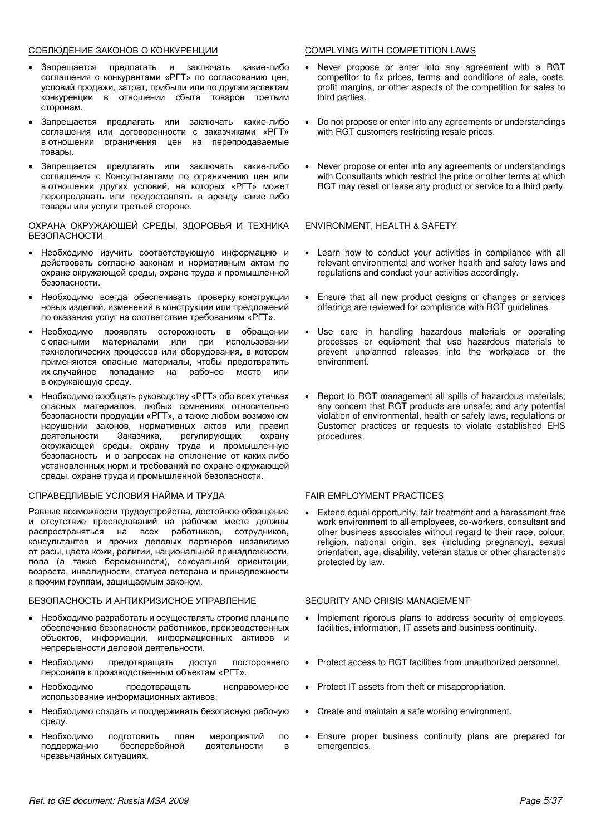### COBJIO EHIE 3AKOHOB O KOHKYPEHLINI **COMPLYING WITH COMPETITION LAWS**

- Запрешается предлагать и заключать какие-либо соглашения с конкурентами «РГТ» по согласованию цен, условий продажи, затрат, прибыли или по другим аспектам конкуренции в отношении сбыта товаров третьим сторонам.
- Запрещается предлагать или заключать какие-либо соглашения или договоренности с заказчиками «РГТ» в отношении ограничения цен на перепродаваемые товары.
- Запрещается предлагать или заключать какие-либо соглашения с Консультантами по ограничению цен или в отношении других условий, на которых «РГТ» может перепродавать или предоставлять в аренду какие-либо товары или услуги третьей стороне.

### ОХРАНА ОКРУЖАЮЩЕЙ СРЕДЫ, ЗДОРОВЬЯ И ТЕХНИКА БЕЗОПАСНОСТИ

- Необходимо изучить соответствующую информацию и действовать согласно законам и нормативным актам по охране окружающей среды, охране труда и промышленной безопасности.
- Необходимо всегда обеспечивать проверку конструкции новых изделий, изменений в конструкции или предложений по оказанию услуг на соответствие требованиям «РГТ».
- Необходимо проявлять осторожность в обращении<br>сопасными материалами или при использовании материалами или при технологических процессов или оборудования, в котором применяются опасные материалы, чтобы предотвратить их случайное попадание на рабочее место или в окружающую среду.
- Необходимо сообщать руководству «РГТ» обо всех утечках опасных материалов, любых сомнениях относительно безопасности продукции «РГТ», а также любом возможном нарушении законов, нормативных актов или правил деятельности Заказчика, регулирующих охрану окружающей среды, охрану труда и промышленную безопасность и о запросах на отклонение от каких-либо установленных норм и требований по охране окружающей среды, охране труда и промышленной безопасности.

### СПРАВЕДЛИВЫЕ УСЛОВИЯ НАЙМА И ТРУДА ГАТРА ГАЛЯ ЕМРLOYMENT PRACTICES

Равные возможности трудоустройства, достойное обращение и отсутствие преследований на рабочем месте должны распространяться на всех работников, сотрудников, консультантов и прочих деловых партнеров независимо от расы, цвета кожи, религии, национальной принадлежности, пола (а также беременности), сексуальной ориентации, возраста, инвалидности, статуса ветерана и принадлежности к прочим группам, защищаемым законом.

### БЕЗОПАСНОСТЬ И АНТИКРИЗИСНОЕ УПРАВЛЕНИЕ SECURITY AND CRISIS MANAGEMENT

- Необходимо разработать и осуществлять строгие планы по обеспечению безопасности работников, производственных объектов, информации, информационных активов и непрерывности деловой деятельности.
- Необходимо предотвращать доступ постороннего персонала к производственным объектам «РГТ».
- Необходимо предотвращать неправомерное использование информационных активов.
- Необходимо создать и поддерживать безопасную рабочую среду.
- Необходимо подготовить план мероприятий по<br>поддержанию бесперебойной деятельности в бесперебойной деятельности в чрезвычайных ситуациях.

- Never propose or enter into any agreement with a RGT competitor to fix prices, terms and conditions of sale, costs, profit margins, or other aspects of the competition for sales to third parties.
- Do not propose or enter into any agreements or understandings with RGT customers restricting resale prices.
- Never propose or enter into any agreements or understandings with Consultants which restrict the price or other terms at which RGT may resell or lease any product or service to a third party.

### ENVIRONMENT, HEALTH & SAFETY

- Learn how to conduct your activities in compliance with all relevant environmental and worker health and safety laws and regulations and conduct your activities accordingly.
- Ensure that all new product designs or changes or services offerings are reviewed for compliance with RGT guidelines.
- Use care in handling hazardous materials or operating processes or equipment that use hazardous materials to prevent unplanned releases into the workplace or the environment.
- Report to RGT management all spills of hazardous materials; any concern that RGT products are unsafe; and any potential violation of environmental, health or safety laws, regulations or Customer practices or requests to violate established EHS procedures.

 Extend equal opportunity, fair treatment and a harassment-free work environment to all employees, co-workers, consultant and other business associates without regard to their race, colour, religion, national origin, sex (including pregnancy), sexual orientation, age, disability, veteran status or other characteristic protected by law.

- Implement rigorous plans to address security of employees, facilities, information, IT assets and business continuity.
- Protect access to RGT facilities from unauthorized personnel.
- Protect IT assets from theft or misappropriation.
- Create and maintain a safe working environment.
- Ensure proper business continuity plans are prepared for emergencies.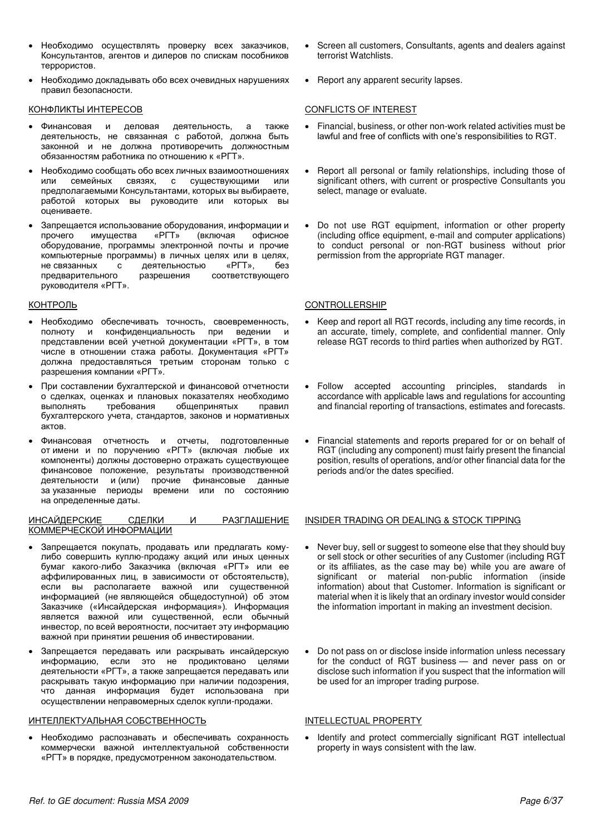- Необходимо осуществлять проверку всех заказчиков, Консультантов, агентов и дилеров по спискам пособников Tennonuctos.
- Необходимо докладывать обо всех очевидных нарушениях правил безопасности.

- Финансовая и деловая деятельность, а также деятельность, не связанная с работой, должна быть законной и не должна противоречить должностным обязанностям работника по отношению к «РГТ».
- Необходимо сообщать обо всех личных взаимоотношениях<br>или семейных связях. с существующими или или семейных связях, с существующими или предполагаемыми Консультантами, которых вы выбираете, работой которых вы руководите или которых вы оцениваете.
- Запрещается использование оборудования, информации и прочего имущества «РГТ» (включая офисное оборудование, программы электронной почты и прочие компьютерные программы) в личных целях или в целях, не связанных с деятельностью «РГТ», без<br>предварительного разрешения соответствующего соответствующего руководителя «РГТ».

- Необходимо обеспечивать точность, своевременность, полноту и конфиденциальность при ведении и представлении всей учетной документации «РГТ», в том числе в отношении стажа работы. Документация «РГТ» должна предоставляться третьим сторонам только с разрешения компании «РГТ».
- При составлении бухгалтерской и финансовой отчетности о сделках, оценках и плановых показателях необходимо выполнять требования общепринятых правил бухгалтерского учета, стандартов, законов и нормативных актов.
- Финансовая отчетность и отчеты, подготовленные от имени и по поручению «РГТ» (включая любые их компоненты) должны достоверно отражать существующее финансовое положение, результаты производственной деятельности и (или) прочие финансовые данные за указанные периоды времени или по состоянию на определенные даты.

### ИНСАЙДЕРСКИЕ СДЕЛКИ И РАЗГЛАШЕНИЕ КОММЕРЧЕСКОЙ ИНФОРМАЦИИ

- Запрещается покупать, продавать или предлагать комулибо совершить куплю-продажу акций или иных ценных бумаг какого-либо Заказчика (включая «РГТ» или ее аффилированных лиц, в зависимости от обстоятельств), если вы располагаете важной или существенной информацией (не являющейся общедоступной) об этом Заказчике («Инсайдерская информация»). Информация является важной или существенной, если обычный инвестор, по всей вероятности, посчитает эту информацию важной при принятии решения об инвестировании.
- Запрещается передавать или раскрывать инсайдерскую информацию, если это не продиктовано целями деятельности «РГТ», а также запрещается передавать или раскрывать такую информацию при наличии подозрения, что данная информация будет использована при осуществлении неправомерных сделок купли-продажи.

### ИНТЕЛЛЕКТУАЛЬНАЯ СОБСТВЕННОСТЬ **ВИЗНОСТЬ INTELLECTUAL PROPERTY**

Необходимо распознавать и обеспечивать сохранность коммерчески важной интеллектуальной собственности «РГТ» в порядке, предусмотренном законодательством.

- Screen all customers, Consultants, agents and dealers against terrorist Watchlists.
- Report any apparent security lapses.

### КОНФЛИКТЫ ИНТЕРЕСОВ <del>СОNFLICTS OF INTEREST</del>

- Financial, business, or other non-work related activities must be lawful and free of conflicts with one's responsibilities to RGT.
- Report all personal or family relationships, including those of significant others, with current or prospective Consultants you select, manage or evaluate.
- Do not use RGT equipment, information or other property (including office equipment, e-mail and computer applications) to conduct personal or non-RGT business without prior permission from the appropriate RGT manager.

### KOHTPOЛЬ **GONTROLLERSHIP**

- Keep and report all RGT records, including any time records, in an accurate, timely, complete, and confidential manner. Only release RGT records to third parties when authorized by RGT.
- Follow accepted accounting principles, standards in accordance with applicable laws and regulations for accounting and financial reporting of transactions, estimates and forecasts.
- Financial statements and reports prepared for or on behalf of RGT (including any component) must fairly present the financial position, results of operations, and/or other financial data for the periods and/or the dates specified.

### INSIDER TRADING OR DEALING & STOCK TIPPING

- Never buy, sell or suggest to someone else that they should buy or sell stock or other securities of any Customer (including RGT or its affiliates, as the case may be) while you are aware of significant or material non-public information (inside information) about that Customer. Information is significant or material when it is likely that an ordinary investor would consider the information important in making an investment decision.
- Do not pass on or disclose inside information unless necessary for the conduct of RGT business — and never pass on or disclose such information if you suspect that the information will be used for an improper trading purpose.

 Identify and protect commercially significant RGT intellectual property in ways consistent with the law.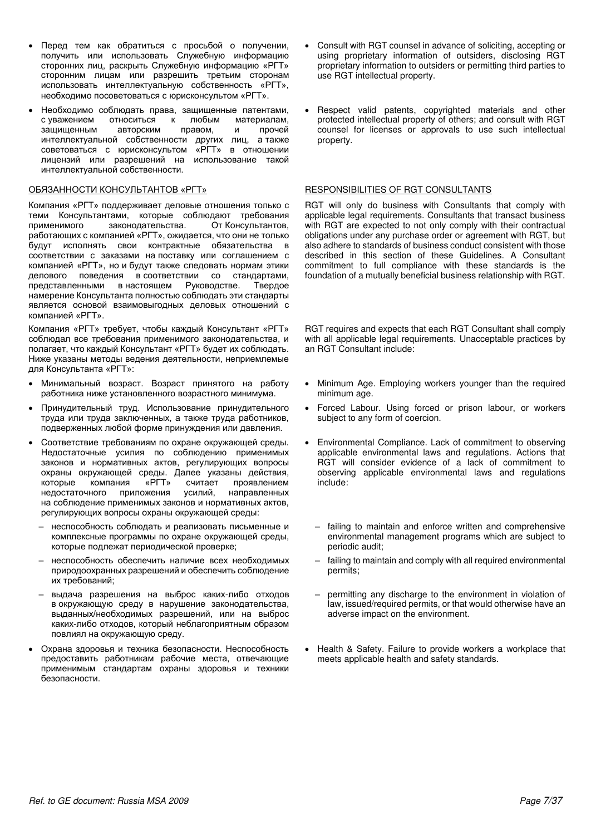- Перед тем как обратиться с просьбой о получении, получить или использовать Служебную информацию сторонних лиц, раскрыть Служебную информацию «РГТ» сторонним лицам или разрешить третьим сторонам использовать интеллектуальную собственность «РГТ», необходимо посоветоваться с юрисконсультом «РГТ».
- Необходимо соблюдать права, защищенные патентами,<br>с уважением стноситься к любым материалам. к любым материалам. защищенным авторским правом, и прочей интеллектуальной собственности других лиц, а также советоваться с юрисконсультом «РГТ» в отношении лицензий или разрешений на использование такой интеллектуальной собственности.

Компания «РГТ» поддерживает деловые отношения только с теми Консультантами, которые соблюдают требования<br>применимого законодательства. От Консультантов. законодательства. работающих с компанией «РГТ», ожидается, что они не только будут исполнять свои контрактные обязательства в соответствии с заказами на поставку или соглашением с компанией «РГТ», но и будут также следовать нормам этики делового поведения в соответствии со стандартами, представленными в настоящем Руководстве. Твердое представленными в настоящем Руководстве. Твердое намерение Консультанта полностью соблюдать эти стандарты является основой взаимовыгодных деловых отношений с компанией «PГТ».

Компания «РГТ» требует, чтобы каждый Консультант «РГТ» соблюдал все требования применимого законодательства, и полагает, что каждый Консультант «РГТ» будет их соблюдать. Ниже указаны методы ведения деятельности, неприемлемые для Консультанта «РГТ»:

- Минимальный возраст. Возраст принятого на работу работника ниже установленного возрастного минимума.
- Принудительный труд. Использование принудительного труда или труда заключенных, а также труда работников, подверженных любой форме принуждения или давления.
- Соответствие требованиям по охране окружающей среды. Недостаточные усилия по соблюдению применимых законов и нормативных актов, регулирующих вопросы охраны окружающей среды. Далее указаны действия,<br>которые икомпания «РГТ» считает проявлением которые компания «РГТ» считает проявлением<br>недостаточного приложения усилий, направленных недостаточного приложения на соблюдение применимых законов и нормативных актов, регулирующих вопросы охраны окружающей среды:
	- неспособность соблюдать и реализовать письменные и комплексные программы по охране окружающей среды, которые подлежат периодической проверке;
	- неспособность обеспечить наличие всех необходимых природоохранных разрешений и обеспечить соблюдение их требований;
	- выдача разрешения на выброс каких-либо отходов в окружающую среду в нарушение законодательства, выданных/необходимых разрешений, или на выброс каких-либо отходов, который неблагоприятным образом повлиял на окружающую среду.
- Охрана здоровья и техника безопасности. Неспособность предоставить работникам рабочие места, отвечающие применимым стандартам охраны здоровья и техники безопасности.
- Consult with RGT counsel in advance of soliciting, accepting or using proprietary information of outsiders, disclosing RGT proprietary information to outsiders or permitting third parties to use RGT intellectual property.
- Respect valid patents, copyrighted materials and other protected intellectual property of others; and consult with RGT counsel for licenses or approvals to use such intellectual property.

### OBSTAHHOCTU KOHCYJI DTAHTOB «PITI» RESPONSIBILITIES OF RGT CONSULTANTS

RGT will only do business with Consultants that comply with applicable legal requirements. Consultants that transact business with RGT are expected to not only comply with their contractual obligations under any purchase order or agreement with RGT, but also adhere to standards of business conduct consistent with those described in this section of these Guidelines. A Consultant commitment to full compliance with these standards is the foundation of a mutually beneficial business relationship with RGT.

RGT requires and expects that each RGT Consultant shall comply with all applicable legal requirements. Unacceptable practices by an RGT Consultant include:

- Minimum Age. Employing workers younger than the required minimum age.
- Forced Labour. Using forced or prison labour, or workers subject to any form of coercion.
- Environmental Compliance. Lack of commitment to observing applicable environmental laws and regulations. Actions that RGT will consider evidence of a lack of commitment to observing applicable environmental laws and regulations include:
	- failing to maintain and enforce written and comprehensive environmental management programs which are subject to periodic audit;
	- failing to maintain and comply with all required environmental permits;
	- permitting any discharge to the environment in violation of law, issued/required permits, or that would otherwise have an adverse impact on the environment.
- Health & Safety. Failure to provide workers a workplace that meets applicable health and safety standards.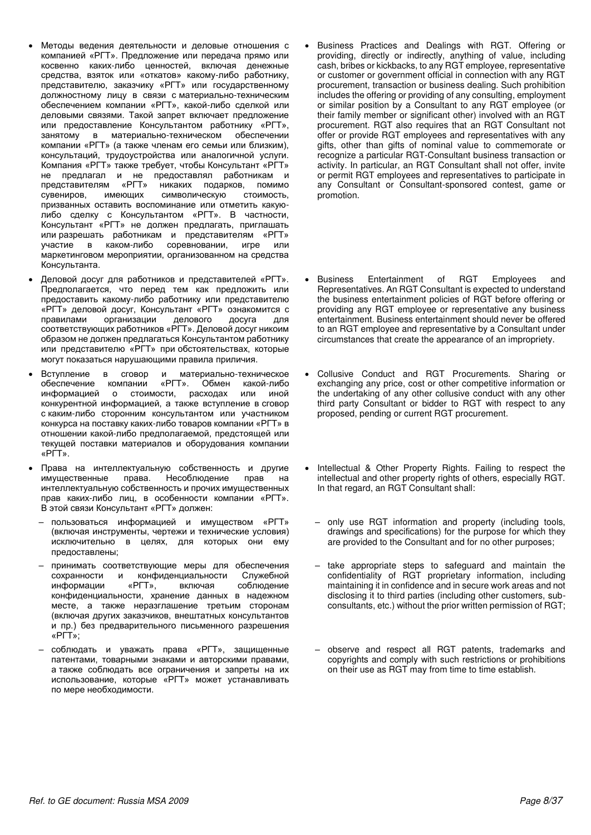- Методы ведения деятельности и деловые отношения с компанией «РГТ». Предложение или передача прямо или косвенно каких-либо ценностей, включая денежные средства, взяток или «откатов» какому-либо работнику, представителю, заказчику «РГТ» или государственному должностному лицу в связи с материально-техническим обеспечением компании «РГТ», какой-либо сделкой или деловыми связями. Такой запрет включает предложение или предоставление Консультантом работнику «РГТ», занятому в материально-техническом обеспечении в материально-техническом обеспечении компании «РГТ» (а также членам его семьи или близким), консультаций, трудоустройства или аналогичной услуги. Компания «РГТ» также требует, чтобы Консультант «РГТ» не предлагал и не предоставлял работникам и представителям «РГТ» никаких подарков, помимо<br>сувениров, имеющих символическую стоимость. символическую призванных оставить воспоминание или отметить какуюлибо сделку с Консультантом «PГТ». В частности, Консультант «РГТ» не должен предлагать, приглашать или разрешать работникам и представителям «РГТ» участие в каком-либо соревновании, игре или маркетинговом мероприятии, организованном на средства Консультанта.
- Деловой досуг для работников и представителей «РГТ». педполагается, что перед тем как предложить или предоставить какому-либо работнику или представителю «РГТ» деловой досуг, Консультант «РГТ» ознакомится с правилами с организации и делового и досуга иля правилами организации делового досуга для соответствующих работников «РГТ». Деловой досуг никоим образом не должен предлагаться Консультантом работнику или представителю «РГТ» при обстоятельствах, которые могут показаться нарушающими правила приличия.
- Вступление в сговор и материально-техническое<br>обеспечение компании «РГТ». Обмен какой-либо Обмен какой-либо информацией о стоимости, расходах или иной конкурентной информацией, а также вступление в сговор с каким-либо сторонним консультантом или участником конкурса на поставку каких-либо товаров компании «РГТ» в отношении какой-либо предполагаемой, предстоящей или текущей поставки материалов и оборудования компании «PLT».
- Права на интеллектуальную собственность и другие имущественные права. Несоблюдение прав на интеллектуальную собственность и прочих имущественных прав каких-либо лиц, в особенности компании «РГТ». В этой связи Консультант «РГТ» должен:
	- пользоваться информацией и имуществом «РГТ» (включая инструменты, чертежи и технические условия) исключительно в целях, для которых они ему предоставлены;
	- принимать соответствующие меры для обеспечения сохранности и конфиденциальности Служебной<br>информации «РГТ», включая соблюдение информации «РГТ», включая соблюдение конфиденциальности, хранение данных в надежном месте, а также неразглашение третьим сторонам (включая других заказчиков, внештатных консультантов и пр.) без предварительного письменного разрешения «PLT»;
	- соблюдать и уважать права «РГТ», защищенные патентами, товарными знаками и авторскими правами, а также соблюдать все ограничения и запреты на их использование, которые «PГТ» может устанавливать по мере необходимости.
- Business Practices and Dealings with RGT. Offering or providing, directly or indirectly, anything of value, including cash, bribes or kickbacks, to any RGT employee, representative or customer or government official in connection with any RGT procurement, transaction or business dealing. Such prohibition includes the offering or providing of any consulting, employment or similar position by a Consultant to any RGT employee (or their family member or significant other) involved with an RGT procurement. RGT also requires that an RGT Consultant not offer or provide RGT employees and representatives with any gifts, other than gifts of nominal value to commemorate or recognize a particular RGT-Consultant business transaction or activity. In particular, an RGT Consultant shall not offer, invite or permit RGT employees and representatives to participate in any Consultant or Consultant-sponsored contest, game or promotion.
- Business Entertainment of RGT Employees and Representatives. An RGT Consultant is expected to understand the business entertainment policies of RGT before offering or providing any RGT employee or representative any business entertainment. Business entertainment should never be offered to an RGT employee and representative by a Consultant under circumstances that create the appearance of an impropriety.
- Collusive Conduct and RGT Procurements. Sharing or exchanging any price, cost or other competitive information or the undertaking of any other collusive conduct with any other third party Consultant or bidder to RGT with respect to any proposed, pending or current RGT procurement.
- Intellectual & Other Property Rights. Failing to respect the intellectual and other property rights of others, especially RGT. In that regard, an RGT Consultant shall:
	- only use RGT information and property (including tools, drawings and specifications) for the purpose for which they are provided to the Consultant and for no other purposes;
	- take appropriate steps to safeguard and maintain the confidentiality of RGT proprietary information, including maintaining it in confidence and in secure work areas and not disclosing it to third parties (including other customers, subconsultants, etc.) without the prior written permission of RGT;
	- observe and respect all RGT patents, trademarks and copyrights and comply with such restrictions or prohibitions on their use as RGT may from time to time establish.